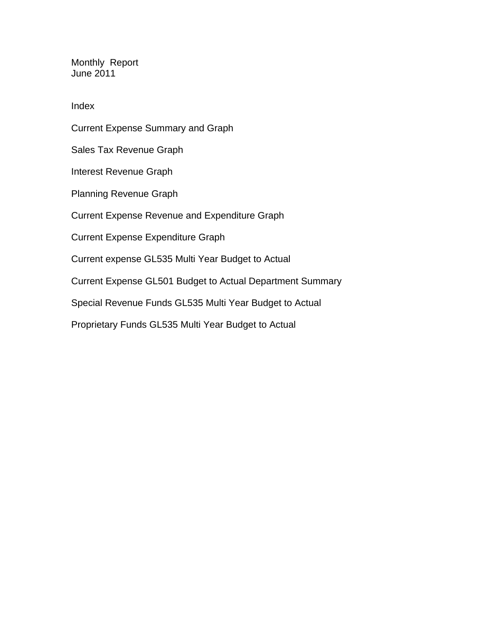Monthly Report June 2011

Index

Current Expense Summary and Graph Sales Tax Revenue Graph Interest Revenue Graph Planning Revenue Graph Current Expense Revenue and Expenditure Graph Current Expense Expenditure Graph Current expense GL535 Multi Year Budget to Actual Current Expense GL501 Budget to Actual Department Summary Special Revenue Funds GL535 Multi Year Budget to Actual Proprietary Funds GL535 Multi Year Budget to Actual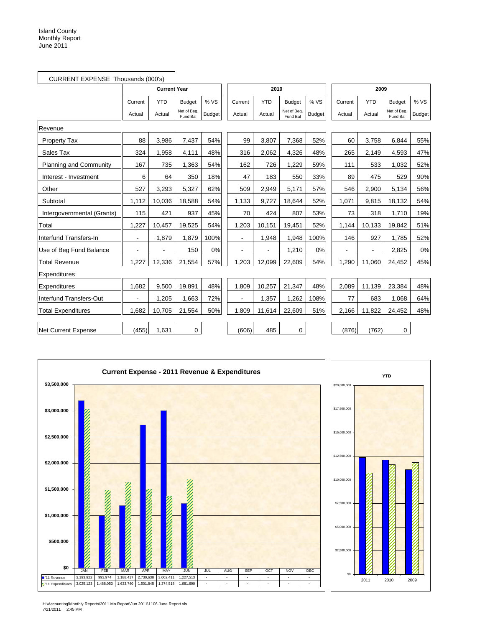| CURRENT EXPENSE Thousands (000's) |                |                          |                         |               |                |            |                        |               |                          |            |                         |               |
|-----------------------------------|----------------|--------------------------|-------------------------|---------------|----------------|------------|------------------------|---------------|--------------------------|------------|-------------------------|---------------|
|                                   |                | <b>Current Year</b>      |                         |               |                | 2010       |                        |               |                          | 2009       |                         |               |
|                                   | Current        | <b>YTD</b>               | <b>Budget</b>           | % VS          | Current        | <b>YTD</b> | <b>Budget</b>          | % VS          | Current                  | <b>YTD</b> | <b>Budget</b>           | % VS          |
|                                   | Actual         | Actual                   | Net of Beg.<br>Fund Bal | <b>Budget</b> | Actual         | Actual     | Net of Bea<br>Fund Bal | <b>Budget</b> | Actual                   | Actual     | Net of Beg.<br>Fund Bal | <b>Budget</b> |
| Revenue                           |                |                          |                         |               |                |            |                        |               |                          |            |                         |               |
| <b>Property Tax</b>               | 88             | 3,986                    | 7,437                   | 54%           | 99             | 3,807      | 7,368                  | 52%           | 60                       | 3,758      | 6,844                   | 55%           |
| Sales Tax                         | 324            | 1,958                    | 4,111                   | 48%           | 316            | 2,062      | 4,326                  | 48%           | 265                      | 2,149      | 4,593                   | 47%           |
| Planning and Community            | 167            | 735                      | 1,363                   | 54%           | 162            | 726        | 1.229                  | 59%           | 111                      | 533        | 1,032                   | 52%           |
| Interest - Investment             | 6              | 64                       | 350                     | 18%           | 47             | 183        | 550                    | 33%           | 89                       | 475        | 529                     | 90%           |
| Other                             | 527            | 3,293                    | 5,327                   | 62%           | 509            | 2,949      | 5,171                  | 57%           | 546                      | 2,900      | 5,134                   | 56%           |
| Subtotal                          | 1,112          | 10,036                   | 18,588                  | 54%           | 1,133          | 9,727      | 18,644                 | 52%           | 1,071                    | 9,815      | 18,132                  | 54%           |
| Intergovernmental (Grants)        | 115            | 421                      | 937                     | 45%           | 70             | 424        | 807                    | 53%           | 73                       | 318        | 1,710                   | 19%           |
| Total                             | 1,227          | 10,457                   | 19,525                  | 54%           | 1,203          | 10,151     | 19,451                 | 52%           | 1,144                    | 10,133     | 19,842                  | 51%           |
| Interfund Transfers-In            | $\blacksquare$ | 1,879                    | 1,879                   | 100%          | $\blacksquare$ | 1,948      | 1,948                  | 100%          | 146                      | 927        | 1,785                   | 52%           |
| Use of Beg Fund Balance           | $\blacksquare$ | $\overline{\phantom{a}}$ | 150                     | 0%            |                |            | 1,210                  | 0%            | $\overline{\phantom{0}}$ | ÷,         | 2,825                   | 0%            |
| <b>Total Revenue</b>              | 1,227          | 12,336                   | 21,554                  | 57%           | 1,203          | 12,099     | 22,609                 | 54%           | 1,290                    | 11,060     | 24,452                  | 45%           |
| Expenditures                      |                |                          |                         |               |                |            |                        |               |                          |            |                         |               |
| Expenditures                      | 1,682          | 9,500                    | 19,891                  | 48%           | 1,809          | 10,257     | 21,347                 | 48%           | 2,089                    | 11,139     | 23,384                  | 48%           |
| Interfund Transfers-Out           |                | 1,205                    | 1,663                   | 72%           |                | 1,357      | 1,262                  | 108%          | 77                       | 683        | 1,068                   | 64%           |
| <b>Total Expenditures</b>         | 1,682          | 10,705                   | 21,554                  | 50%           | 1,809          | 11,614     | 22,609                 | 51%           | 2,166                    | 11,822     | 24,452                  | 48%           |
| <b>Net Current Expense</b>        | (455)          | 1.631                    | 0                       |               | (606)          | 485        | $\mathbf 0$            |               | (876)                    | (762)      | $\mathbf 0$             |               |

÷



H:\Accounting\Monthly Reports\2011 Mo Report\Jun 2011\1106 June Report.xls 7/21/2011 2:45 PM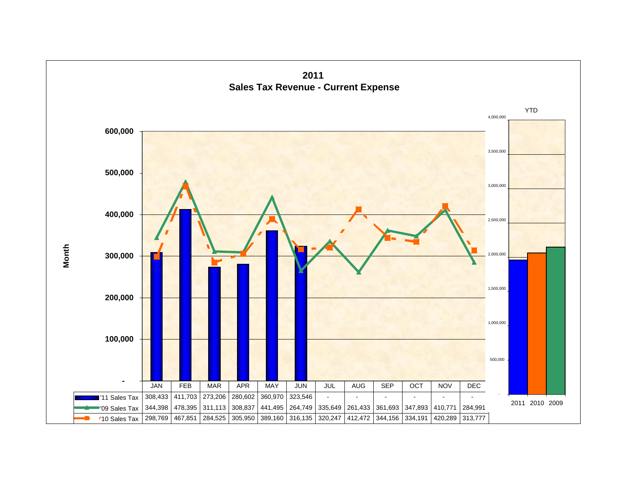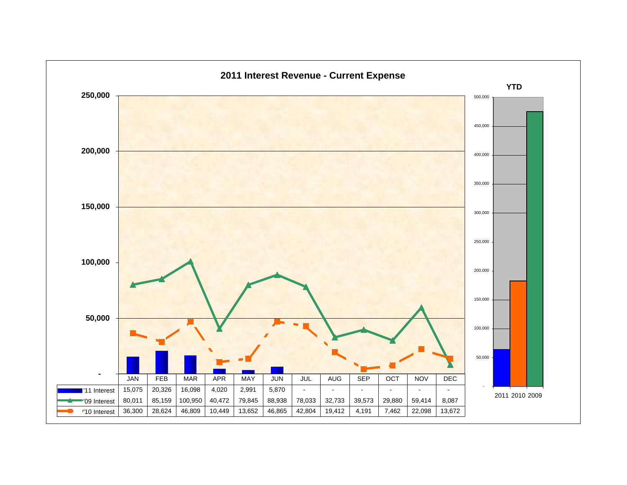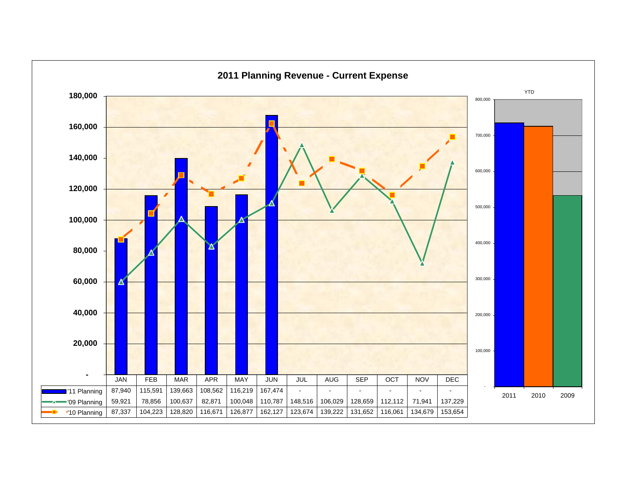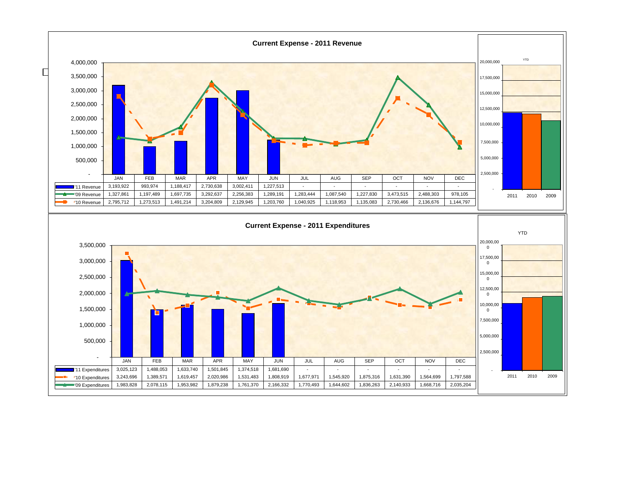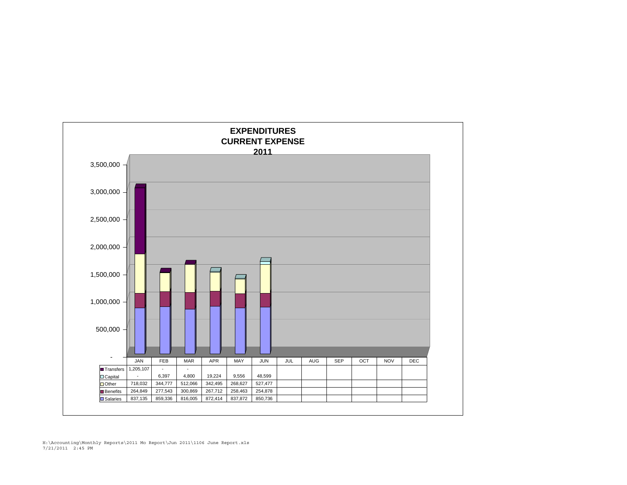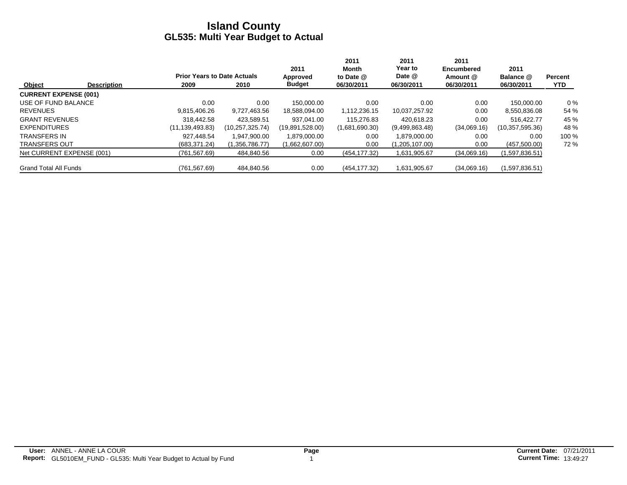|                              |                    |                                    |                 | 2011            | 2011<br>Month  | 2011<br>Year to | 2011<br><b>Encumbered</b> | 2011              |         |
|------------------------------|--------------------|------------------------------------|-----------------|-----------------|----------------|-----------------|---------------------------|-------------------|---------|
|                              |                    | <b>Prior Years to Date Actuals</b> |                 | Approved        | to Date @      | Date @          | Amount @                  | Balance @         | Percent |
| Object                       | <b>Description</b> | 2009                               | 2010            | <b>Budget</b>   | 06/30/2011     | 06/30/2011      | 06/30/2011                | 06/30/2011        | YTD.    |
| <b>CURRENT EXPENSE (001)</b> |                    |                                    |                 |                 |                |                 |                           |                   |         |
| USE OF FUND BALANCE          |                    | 0.00                               | 0.00            | 150.000.00      | 0.00           | 0.00            | 0.00                      | 150.000.00        | $0\%$   |
| <b>REVENUES</b>              |                    | 9,815,406.26                       | 9,727,463.56    | 18,588,094.00   | 1,112,236.15   | 10,037,257.92   | 0.00                      | 8,550,836.08      | 54 %    |
| <b>GRANT REVENUES</b>        |                    | 318,442.58                         | 423,589.51      | 937.041.00      | 115.276.83     | 420.618.23      | 0.00                      | 516.422.77        | 45 %    |
| <b>EXPENDITURES</b>          |                    | (11, 139, 493.83)                  | (10,257,325.74) | (19,891,528.00) | (1,681,690.30) | (9,499,863.48)  | (34,069.16)               | (10, 357, 595.36) | 48 %    |
| TRANSFERS IN                 |                    | 927.448.54                         | 1.947.900.00    | 1,879,000.00    | 0.00           | 1.879.000.00    | 0.00                      | 0.00              | 100 %   |
| <b>TRANSFERS OUT</b>         |                    | (683, 371.24)                      | (1,356,786.77)  | (1,662,607.00)  | 0.00           | (1,205,107.00)  | 0.00                      | (457,500.00)      | 72%     |
| Net CURRENT EXPENSE (001)    |                    | (761.567.69)                       | 484,840.56      | 0.00            | (454, 177.32)  | 1,631,905.67    | (34,069.16)               | (1,597,836.51)    |         |
| <b>Grand Total All Funds</b> |                    | (761, 567.69)                      | 484,840.56      | 0.00            | (454, 177.32)  | 1,631,905.67    | (34,069.16)               | (1,597,836.51)    |         |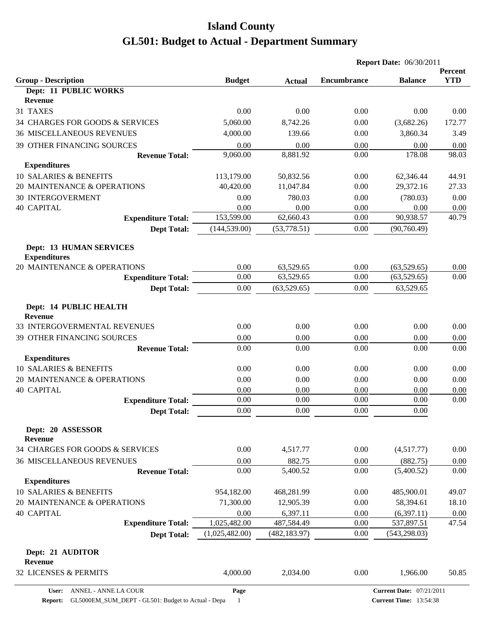|                                                             |                |                | <b>Report Date: 06/30/2011</b> |                  |                       |
|-------------------------------------------------------------|----------------|----------------|--------------------------------|------------------|-----------------------|
| <b>Group - Description</b>                                  | <b>Budget</b>  | <b>Actual</b>  | <b>Encumbrance</b>             | <b>Balance</b>   | Percent<br><b>YTD</b> |
| Dept: 11 PUBLIC WORKS                                       |                |                |                                |                  |                       |
| <b>Revenue</b>                                              |                |                |                                |                  |                       |
| 31 TAXES                                                    | 0.00           | 0.00           | 0.00                           | 0.00             | 0.00                  |
| 34 CHARGES FOR GOODS & SERVICES                             | 5,060.00       | 8,742.26       | 0.00                           | (3,682.26)       | 172.77                |
| <b>36 MISCELLANEOUS REVENUES</b>                            | 4,000.00       | 139.66         | 0.00                           | 3,860.34         | 3.49                  |
| 39 OTHER FINANCING SOURCES                                  | 0.00           | 0.00           | 0.00                           | 0.00             | 0.00                  |
| <b>Revenue Total:</b>                                       | 9,060.00       | 8,881.92       | 0.00                           | 178.08           | 98.03                 |
| <b>Expenditures</b>                                         |                |                |                                |                  |                       |
| 10 SALARIES & BENEFITS                                      | 113,179.00     | 50,832.56      | 0.00                           | 62,346.44        | 44.91                 |
| 20 MAINTENANCE & OPERATIONS                                 | 40,420.00      | 11,047.84      | 0.00                           | 29,372.16        | 27.33                 |
| <b>30 INTERGOVERMENT</b><br><b>40 CAPITAL</b>               | 0.00<br>0.00   | 780.03<br>0.00 | 0.00<br>0.00                   | (780.03)<br>0.00 | 0.00                  |
| <b>Expenditure Total:</b>                                   | 153,599.00     | 62,660.43      | 0.00                           | 90,938.57        | 0.00<br>40.79         |
| <b>Dept Total:</b>                                          | (144, 539.00)  | (53, 778.51)   | 0.00                           | (90, 760.49)     |                       |
|                                                             |                |                |                                |                  |                       |
| <b>Dept: 13 HUMAN SERVICES</b><br><b>Expenditures</b>       |                |                |                                |                  |                       |
| 20 MAINTENANCE & OPERATIONS                                 | 0.00           | 63,529.65      | 0.00                           | (63,529.65)      | 0.00                  |
| <b>Expenditure Total:</b>                                   | 0.00           | 63,529.65      | 0.00                           | (63,529.65)      | 0.00                  |
| <b>Dept Total:</b>                                          | 0.00           | (63,529.65)    | 0.00                           | 63,529.65        |                       |
| Dept: 14 PUBLIC HEALTH<br><b>Revenue</b>                    |                |                |                                |                  |                       |
| 33 INTERGOVERMENTAL REVENUES                                | 0.00           | 0.00           | 0.00                           | 0.00             | 0.00                  |
| 39 OTHER FINANCING SOURCES                                  | 0.00           | 0.00           | 0.00                           | 0.00             | 0.00                  |
| <b>Revenue Total:</b>                                       | 0.00           | 0.00           | 0.00                           | 0.00             | 0.00                  |
| <b>Expenditures</b>                                         |                |                |                                |                  |                       |
| 10 SALARIES & BENEFITS                                      | 0.00           | 0.00           | 0.00                           | 0.00             | 0.00                  |
| 20 MAINTENANCE & OPERATIONS                                 | 0.00           | 0.00           | 0.00                           | 0.00             | 0.00                  |
| <b>40 CAPITAL</b>                                           | 0.00<br>0.00   | 0.00<br>0.00   | 0.00                           | 0.00             | 0.00                  |
| <b>Expenditure Total:</b>                                   |                |                | 0.00                           | 0.00             | 0.00                  |
| <b>Dept Total:</b>                                          | 0.00           | 0.00           | 0.00                           | 0.00             |                       |
| Dept: 20 ASSESSOR<br>Revenue                                |                |                |                                |                  |                       |
| 34 CHARGES FOR GOODS & SERVICES                             | 0.00           | 4,517.77       | 0.00                           | (4,517.77)       | 0.00                  |
| <b>36 MISCELLANEOUS REVENUES</b>                            | 0.00           | 882.75         | 0.00                           | (882.75)         | 0.00                  |
| <b>Revenue Total:</b>                                       | 0.00           | 5,400.52       | 0.00                           | (5,400.52)       | 0.00                  |
| <b>Expenditures</b>                                         |                |                |                                |                  |                       |
| 10 SALARIES & BENEFITS                                      | 954,182.00     | 468,281.99     | 0.00                           | 485,900.01       | 49.07                 |
| 20 MAINTENANCE & OPERATIONS                                 | 71,300.00      | 12,905.39      | 0.00                           | 58,394.61        | 18.10                 |
| 40 CAPITAL                                                  | 0.00           | 6,397.11       | 0.00                           | (6,397.11)       | 0.00                  |
| <b>Expenditure Total:</b>                                   | 1,025,482.00   | 487,584.49     | 0.00                           | 537,897.51       | 47.54                 |
| <b>Dept Total:</b>                                          | (1,025,482.00) | (482, 183.97)  | 0.00                           | (543, 298.03)    |                       |
| Dept: 21 AUDITOR<br><b>Revenue</b><br>32 LICENSES & PERMITS | 4,000.00       | 2,034.00       | 0.00                           | 1,966.00         | 50.85                 |
|                                                             |                |                |                                |                  |                       |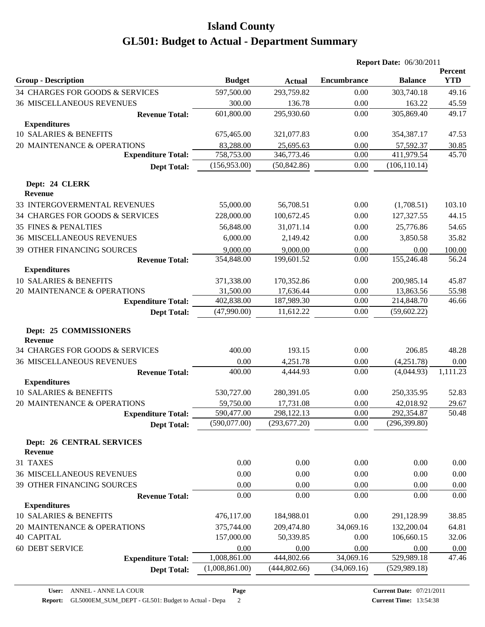|                                                    |                |               | <b>Report Date: 06/30/2011</b> |                |                       |
|----------------------------------------------------|----------------|---------------|--------------------------------|----------------|-----------------------|
| <b>Group - Description</b>                         | <b>Budget</b>  | <b>Actual</b> | <b>Encumbrance</b>             | <b>Balance</b> | Percent<br><b>YTD</b> |
| 34 CHARGES FOR GOODS & SERVICES                    | 597,500.00     | 293,759.82    | 0.00                           | 303,740.18     | 49.16                 |
| <b>36 MISCELLANEOUS REVENUES</b>                   | 300.00         | 136.78        | 0.00                           | 163.22         | 45.59                 |
| <b>Revenue Total:</b>                              | 601,800.00     | 295,930.60    | 0.00                           | 305,869.40     | 49.17                 |
| <b>Expenditures</b>                                |                |               |                                |                |                       |
| 10 SALARIES & BENEFITS                             | 675,465.00     | 321,077.83    | 0.00                           | 354,387.17     | 47.53                 |
| 20 MAINTENANCE & OPERATIONS                        | 83,288.00      | 25,695.63     | 0.00                           | 57,592.37      | 30.85                 |
| <b>Expenditure Total:</b>                          | 758,753.00     | 346,773.46    | 0.00                           | 411,979.54     | 45.70                 |
| <b>Dept Total:</b>                                 | (156,953.00)   | (50, 842.86)  | 0.00                           | (106, 110.14)  |                       |
| Dept: 24 CLERK<br><b>Revenue</b>                   |                |               |                                |                |                       |
| 33 INTERGOVERMENTAL REVENUES                       | 55,000.00      | 56,708.51     | 0.00                           | (1,708.51)     | 103.10                |
| 34 CHARGES FOR GOODS & SERVICES                    | 228,000.00     | 100,672.45    | 0.00                           | 127,327.55     | 44.15                 |
| 35 FINES & PENALTIES                               | 56,848.00      | 31,071.14     | 0.00                           | 25,776.86      | 54.65                 |
| <b>36 MISCELLANEOUS REVENUES</b>                   | 6,000.00       | 2,149.42      | 0.00                           | 3,850.58       | 35.82                 |
| 39 OTHER FINANCING SOURCES                         | 9,000.00       | 9,000.00      | 0.00                           | 0.00           | 100.00                |
| <b>Revenue Total:</b>                              | 354,848.00     | 199,601.52    | 0.00                           | 155,246.48     | 56.24                 |
| <b>Expenditures</b>                                |                |               |                                |                |                       |
| 10 SALARIES & BENEFITS                             | 371,338.00     | 170,352.86    | 0.00                           | 200,985.14     | 45.87                 |
| 20 MAINTENANCE & OPERATIONS                        | 31,500.00      | 17,636.44     | 0.00                           | 13,863.56      | 55.98                 |
| <b>Expenditure Total:</b>                          | 402,838.00     | 187,989.30    | 0.00                           | 214,848.70     | 46.66                 |
| <b>Dept Total:</b>                                 | (47,990.00)    | 11,612.22     | 0.00                           | (59, 602.22)   |                       |
| Dept: 25 COMMISSIONERS<br><b>Revenue</b>           |                |               |                                |                |                       |
| 34 CHARGES FOR GOODS & SERVICES                    | 400.00         | 193.15        | 0.00                           | 206.85         | 48.28                 |
| <b>36 MISCELLANEOUS REVENUES</b>                   | 0.00           | 4,251.78      | 0.00                           | (4,251.78)     | 0.00                  |
| <b>Revenue Total:</b>                              | 400.00         | 4,444.93      | 0.00                           | (4,044.93)     | 1,111.23              |
| <b>Expenditures</b>                                |                |               |                                |                |                       |
| 10 SALARIES & BENEFITS                             | 530,727.00     | 280,391.05    | 0.00                           | 250,335.95     | 52.83                 |
| 20 MAINTENANCE & OPERATIONS                        | 59,750.00      | 17,731.08     | 0.00                           | 42,018.92      | 29.67                 |
| <b>Expenditure Total:</b>                          | 590,477.00     | 298,122.13    | $0.00\,$                       | 292,354.87     | 50.48                 |
| <b>Dept Total:</b>                                 | (590,077.00)   | (293, 677.20) | 0.00                           | (296, 399.80)  |                       |
| <b>Dept: 26 CENTRAL SERVICES</b><br><b>Revenue</b> |                |               |                                |                |                       |
| 31 TAXES                                           | 0.00           | 0.00          | 0.00                           | 0.00           | 0.00                  |
| <b>36 MISCELLANEOUS REVENUES</b>                   | 0.00           | 0.00          | 0.00                           | 0.00           | 0.00                  |
| 39 OTHER FINANCING SOURCES                         | 0.00           | 0.00          | 0.00                           | 0.00           | 0.00                  |
| <b>Revenue Total:</b>                              | 0.00           | 0.00          | 0.00                           | 0.00           | 0.00                  |
| <b>Expenditures</b>                                |                |               |                                |                |                       |
| 10 SALARIES & BENEFITS                             | 476,117.00     | 184,988.01    | 0.00                           | 291,128.99     | 38.85                 |
| 20 MAINTENANCE & OPERATIONS                        | 375,744.00     | 209,474.80    | 34,069.16                      | 132,200.04     | 64.81                 |
| <b>40 CAPITAL</b>                                  | 157,000.00     | 50,339.85     | 0.00                           | 106,660.15     | 32.06                 |
| 60 DEBT SERVICE                                    | 0.00           | 0.00          | 0.00                           | 0.00           | 0.00                  |
| <b>Expenditure Total:</b>                          | 1,008,861.00   | 444,802.66    | 34,069.16                      | 529,989.18     | 47.46                 |
| <b>Dept Total:</b>                                 | (1,008,861.00) | (444, 802.66) | (34,069.16)                    | (529, 989.18)  |                       |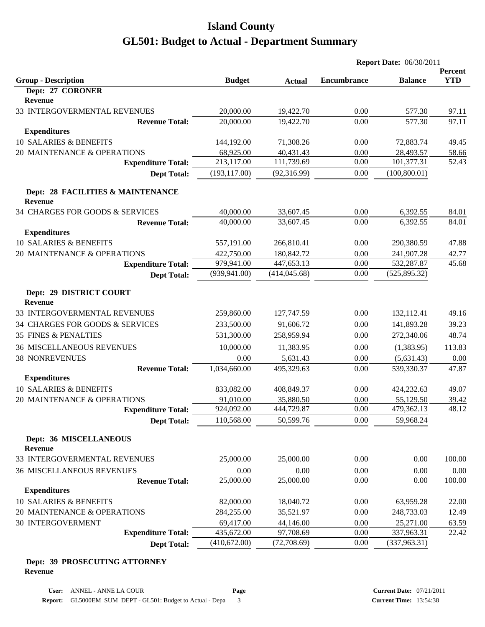|                                                     |               |               | <b>Report Date: 06/30/2011</b> |                |            |
|-----------------------------------------------------|---------------|---------------|--------------------------------|----------------|------------|
|                                                     |               |               |                                |                | Percent    |
| <b>Group - Description</b><br>Dept: 27 CORONER      | <b>Budget</b> | <b>Actual</b> | <b>Encumbrance</b>             | <b>Balance</b> | <b>YTD</b> |
| <b>Revenue</b>                                      |               |               |                                |                |            |
| 33 INTERGOVERMENTAL REVENUES                        | 20,000.00     | 19,422.70     | 0.00                           | 577.30         | 97.11      |
| <b>Revenue Total:</b>                               | 20,000.00     | 19,422.70     | 0.00                           | 577.30         | 97.11      |
| <b>Expenditures</b>                                 |               |               |                                |                |            |
| 10 SALARIES & BENEFITS                              | 144,192.00    | 71,308.26     | 0.00                           | 72,883.74      | 49.45      |
| 20 MAINTENANCE & OPERATIONS                         | 68,925.00     | 40,431.43     | 0.00                           | 28,493.57      | 58.66      |
| <b>Expenditure Total:</b>                           | 213,117.00    | 111,739.69    | 0.00                           | 101,377.31     | 52.43      |
| <b>Dept Total:</b>                                  | (193, 117.00) | (92, 316.99)  | 0.00                           | (100, 800.01)  |            |
| Dept: 28 FACILITIES & MAINTENANCE<br><b>Revenue</b> |               |               |                                |                |            |
| 34 CHARGES FOR GOODS & SERVICES                     | 40,000.00     | 33,607.45     | 0.00                           | 6,392.55       | 84.01      |
| <b>Revenue Total:</b>                               | 40,000.00     | 33,607.45     | 0.00                           | 6,392.55       | 84.01      |
| <b>Expenditures</b>                                 |               |               |                                |                |            |
| 10 SALARIES & BENEFITS                              | 557,191.00    | 266,810.41    | 0.00                           | 290,380.59     | 47.88      |
| 20 MAINTENANCE & OPERATIONS                         | 422,750.00    | 180,842.72    | 0.00                           | 241,907.28     | 42.77      |
| <b>Expenditure Total:</b>                           | 979,941.00    | 447,653.13    | 0.00                           | 532,287.87     | 45.68      |
| <b>Dept Total:</b>                                  | (939, 941.00) | (414, 045.68) | 0.00                           | (525, 895.32)  |            |
| Dept: 29 DISTRICT COURT<br><b>Revenue</b>           |               |               |                                |                |            |
| 33 INTERGOVERMENTAL REVENUES                        | 259,860.00    | 127,747.59    | 0.00                           | 132,112.41     | 49.16      |
| 34 CHARGES FOR GOODS & SERVICES                     | 233,500.00    | 91,606.72     | 0.00                           | 141,893.28     | 39.23      |
| <b>35 FINES &amp; PENALTIES</b>                     | 531,300.00    | 258,959.94    | 0.00                           | 272,340.06     | 48.74      |
| <b>36 MISCELLANEOUS REVENUES</b>                    | 10,000.00     | 11,383.95     | 0.00                           | (1,383.95)     | 113.83     |
| <b>38 NONREVENUES</b>                               | 0.00          | 5,631.43      | 0.00                           | (5,631.43)     | 0.00       |
| <b>Revenue Total:</b>                               | 1,034,660.00  | 495,329.63    | 0.00                           | 539,330.37     | 47.87      |
| <b>Expenditures</b>                                 |               |               |                                |                |            |
| 10 SALARIES & BENEFITS                              | 833,082.00    | 408,849.37    | 0.00                           | 424,232.63     | 49.07      |
| 20 MAINTENANCE & OPERATIONS                         | 91,010.00     | 35,880.50     | 0.00                           | 55,129.50      | 39.42      |
| <b>Expenditure Total:</b>                           | 924,092.00    | 444,729.87    | 0.00                           | 479,362.13     | 48.12      |
| <b>Dept Total:</b>                                  | 110,568.00    | 50,599.76     | 0.00                           | 59,968.24      |            |
| <b>Dept: 36 MISCELLANEOUS</b><br><b>Revenue</b>     |               |               |                                |                |            |
| 33 INTERGOVERMENTAL REVENUES                        | 25,000.00     | 25,000.00     | 0.00                           | 0.00           | 100.00     |
| <b>36 MISCELLANEOUS REVENUES</b>                    | 0.00          | 0.00          | 0.00                           | 0.00           | 0.00       |
| <b>Revenue Total:</b><br><b>Expenditures</b>        | 25,000.00     | 25,000.00     | 0.00                           | 0.00           | 100.00     |
| 10 SALARIES & BENEFITS                              | 82,000.00     | 18,040.72     | 0.00                           | 63,959.28      | 22.00      |
| 20 MAINTENANCE & OPERATIONS                         | 284,255.00    | 35,521.97     | 0.00                           | 248,733.03     | 12.49      |
| 30 INTERGOVERMENT                                   | 69,417.00     | 44,146.00     | 0.00                           | 25,271.00      | 63.59      |
| <b>Expenditure Total:</b>                           | 435,672.00    | 97,708.69     | 0.00                           | 337,963.31     | 22.42      |
| <b>Dept Total:</b>                                  | (410, 672.00) | (72,708.69)   | 0.00                           | (337,963.31)   |            |

#### **Dept: 39 PROSECUTING ATTORNEY Revenue**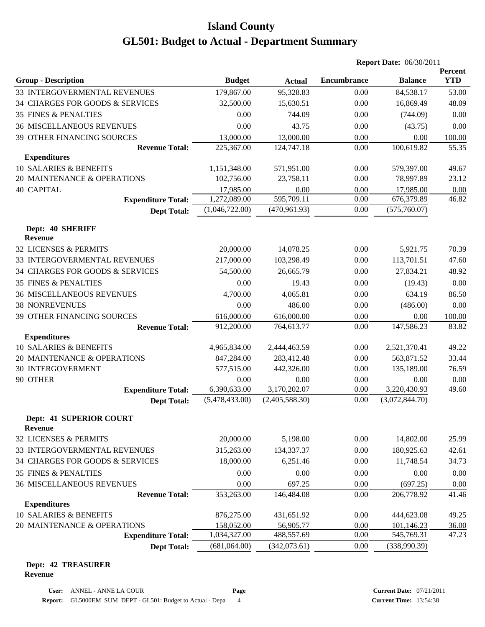|                                           |                |                | <b>Report Date: 06/30/2011</b> |                |                       |
|-------------------------------------------|----------------|----------------|--------------------------------|----------------|-----------------------|
| <b>Group - Description</b>                | <b>Budget</b>  | <b>Actual</b>  | <b>Encumbrance</b>             | <b>Balance</b> | Percent<br><b>YTD</b> |
| 33 INTERGOVERMENTAL REVENUES              | 179,867.00     | 95,328.83      | 0.00                           | 84,538.17      | 53.00                 |
| 34 CHARGES FOR GOODS & SERVICES           | 32,500.00      | 15,630.51      | 0.00                           | 16,869.49      | 48.09                 |
| <b>35 FINES &amp; PENALTIES</b>           | 0.00           | 744.09         | 0.00                           | (744.09)       | 0.00                  |
| <b>36 MISCELLANEOUS REVENUES</b>          | 0.00           | 43.75          | 0.00                           | (43.75)        | 0.00                  |
| 39 OTHER FINANCING SOURCES                | 13,000.00      | 13,000.00      | 0.00                           | 0.00           | 100.00                |
| <b>Revenue Total:</b>                     | 225,367.00     | 124,747.18     | 0.00                           | 100,619.82     | 55.35                 |
| <b>Expenditures</b>                       |                |                |                                |                |                       |
| 10 SALARIES & BENEFITS                    | 1,151,348.00   | 571,951.00     | 0.00                           | 579,397.00     | 49.67                 |
| 20 MAINTENANCE & OPERATIONS               | 102,756.00     | 23,758.11      | 0.00                           | 78,997.89      | 23.12                 |
| <b>40 CAPITAL</b>                         | 17,985.00      | 0.00           | 0.00                           | 17,985.00      | 0.00                  |
| <b>Expenditure Total:</b>                 | 1,272,089.00   | 595,709.11     | 0.00                           | 676,379.89     | 46.82                 |
| <b>Dept Total:</b>                        | (1,046,722.00) | (470, 961.93)  | 0.00                           | (575,760.07)   |                       |
| Dept: 40 SHERIFF<br><b>Revenue</b>        |                |                |                                |                |                       |
| 32 LICENSES & PERMITS                     | 20,000.00      | 14,078.25      | 0.00                           | 5,921.75       | 70.39                 |
| 33 INTERGOVERMENTAL REVENUES              | 217,000.00     | 103,298.49     | 0.00                           | 113,701.51     | 47.60                 |
| 34 CHARGES FOR GOODS & SERVICES           | 54,500.00      | 26,665.79      | 0.00                           | 27,834.21      | 48.92                 |
| <b>35 FINES &amp; PENALTIES</b>           | 0.00           | 19.43          | 0.00                           | (19.43)        | 0.00                  |
| <b>36 MISCELLANEOUS REVENUES</b>          | 4,700.00       | 4,065.81       | 0.00                           | 634.19         | 86.50                 |
| <b>38 NONREVENUES</b>                     | 0.00           | 486.00         | 0.00                           | (486.00)       | 0.00                  |
| 39 OTHER FINANCING SOURCES                | 616,000.00     | 616,000.00     | 0.00                           | 0.00           | 100.00                |
| <b>Revenue Total:</b>                     | 912,200.00     | 764,613.77     | 0.00                           | 147,586.23     | 83.82                 |
| <b>Expenditures</b>                       |                |                |                                |                |                       |
| 10 SALARIES & BENEFITS                    | 4,965,834.00   | 2,444,463.59   | 0.00                           | 2,521,370.41   | 49.22                 |
| 20 MAINTENANCE & OPERATIONS               | 847,284.00     | 283,412.48     | 0.00                           | 563,871.52     | 33.44                 |
| <b>30 INTERGOVERMENT</b>                  | 577,515.00     | 442,326.00     | 0.00                           | 135,189.00     | 76.59                 |
| 90 OTHER                                  | 0.00           | 0.00           | 0.00                           | 0.00           | 0.00                  |
| <b>Expenditure Total:</b>                 | 6,390,633.00   | 3,170,202.07   | 0.00                           | 3,220,430.93   | 49.60                 |
| <b>Dept Total:</b>                        | (5,478,433.00) | (2,405,588.30) | 0.00                           | (3,072,844.70) |                       |
| <b>Dept: 41 SUPERIOR COURT</b><br>Revenue |                |                |                                |                |                       |
| 32 LICENSES & PERMITS                     | 20,000.00      | 5,198.00       | 0.00                           | 14,802.00      | 25.99                 |
| 33 INTERGOVERMENTAL REVENUES              | 315,263.00     | 134,337.37     | 0.00                           | 180,925.63     | 42.61                 |
| 34 CHARGES FOR GOODS & SERVICES           | 18,000.00      | 6,251.46       | 0.00                           | 11,748.54      | 34.73                 |
| <b>35 FINES &amp; PENALTIES</b>           | 0.00           | 0.00           | 0.00                           | 0.00           | 0.00                  |
| <b>36 MISCELLANEOUS REVENUES</b>          | 0.00           | 697.25         | 0.00                           | (697.25)       | 0.00                  |
| <b>Revenue Total:</b>                     | 353,263.00     | 146,484.08     | 0.00                           | 206,778.92     | 41.46                 |
| <b>Expenditures</b>                       |                |                |                                |                |                       |
| 10 SALARIES & BENEFITS                    | 876,275.00     | 431,651.92     | 0.00                           | 444,623.08     | 49.25                 |
| 20 MAINTENANCE & OPERATIONS               | 158,052.00     | 56,905.77      | 0.00                           | 101,146.23     | 36.00                 |
| <b>Expenditure Total:</b>                 | 1,034,327.00   | 488,557.69     | 0.00                           | 545,769.31     | 47.23                 |
| <b>Dept Total:</b>                        | (681,064.00)   | (342,073.61)   | 0.00                           | (338,990.39)   |                       |

#### **Dept: 42 TREASURER Revenue**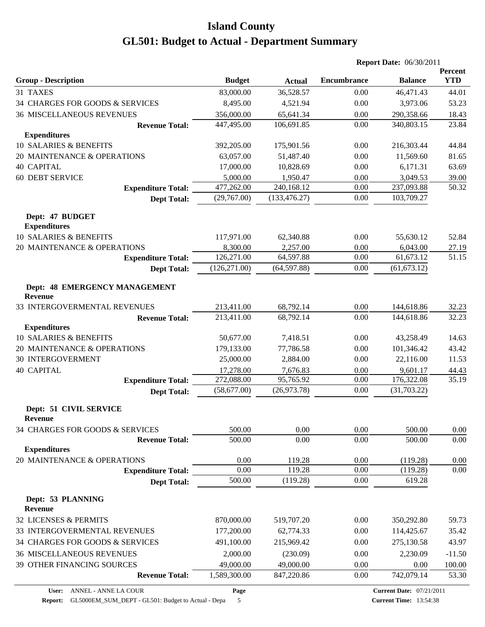|                                                 |               |               | <b>Report Date: 06/30/2011</b> |                |                       |
|-------------------------------------------------|---------------|---------------|--------------------------------|----------------|-----------------------|
| <b>Group - Description</b>                      | <b>Budget</b> | <b>Actual</b> | <b>Encumbrance</b>             | <b>Balance</b> | Percent<br><b>YTD</b> |
| 31 TAXES                                        | 83,000.00     | 36,528.57     | 0.00                           | 46,471.43      | 44.01                 |
| 34 CHARGES FOR GOODS & SERVICES                 | 8,495.00      | 4,521.94      | 0.00                           | 3,973.06       | 53.23                 |
| <b>36 MISCELLANEOUS REVENUES</b>                | 356,000.00    | 65,641.34     | 0.00                           | 290,358.66     | 18.43                 |
| <b>Revenue Total:</b>                           | 447,495.00    | 106,691.85    | 0.00                           | 340,803.15     | 23.84                 |
| <b>Expenditures</b>                             |               |               |                                |                |                       |
| 10 SALARIES & BENEFITS                          | 392,205.00    | 175,901.56    | 0.00                           | 216,303.44     | 44.84                 |
| 20 MAINTENANCE & OPERATIONS                     | 63,057.00     | 51,487.40     | 0.00                           | 11,569.60      | 81.65                 |
| <b>40 CAPITAL</b>                               | 17,000.00     | 10,828.69     | 0.00                           | 6,171.31       | 63.69                 |
| <b>60 DEBT SERVICE</b>                          | 5,000.00      | 1,950.47      | 0.00                           | 3,049.53       | 39.00                 |
| <b>Expenditure Total:</b>                       | 477,262.00    | 240,168.12    | 0.00                           | 237,093.88     | 50.32                 |
| <b>Dept Total:</b>                              | (29,767.00)   | (133, 476.27) | 0.00                           | 103,709.27     |                       |
| Dept: 47 BUDGET<br><b>Expenditures</b>          |               |               |                                |                |                       |
| 10 SALARIES & BENEFITS                          | 117,971.00    | 62,340.88     | 0.00                           | 55,630.12      | 52.84                 |
| 20 MAINTENANCE & OPERATIONS                     | 8,300.00      | 2,257.00      | 0.00                           | 6,043.00       | 27.19                 |
| <b>Expenditure Total:</b>                       | 126,271.00    | 64,597.88     | 0.00                           | 61,673.12      | 51.15                 |
| <b>Dept Total:</b>                              | (126, 271.00) | (64, 597.88)  | 0.00                           | (61, 673.12)   |                       |
| Dept: 48 EMERGENCY MANAGEMENT<br><b>Revenue</b> |               |               |                                |                |                       |
| 33 INTERGOVERMENTAL REVENUES                    | 213,411.00    | 68,792.14     | 0.00                           | 144,618.86     | 32.23                 |
| <b>Revenue Total:</b>                           | 213,411.00    | 68,792.14     | 0.00                           | 144,618.86     | 32.23                 |
| <b>Expenditures</b>                             |               |               |                                |                |                       |
| 10 SALARIES & BENEFITS                          | 50,677.00     | 7,418.51      | 0.00                           | 43,258.49      | 14.63                 |
| 20 MAINTENANCE & OPERATIONS                     | 179,133.00    | 77,786.58     | 0.00                           | 101,346.42     | 43.42                 |
| <b>30 INTERGOVERMENT</b>                        | 25,000.00     | 2,884.00      | 0.00                           | 22,116.00      | 11.53                 |
| <b>40 CAPITAL</b>                               | 17,278.00     | 7,676.83      | 0.00                           | 9,601.17       | 44.43                 |
| <b>Expenditure Total:</b>                       | 272,088.00    | 95,765.92     | 0.00                           | 176,322.08     | 35.19                 |
| <b>Dept Total:</b>                              | (58,677.00)   | (26,973.78)   | 0.00                           | (31,703.22)    |                       |
| Dept: 51 CIVIL SERVICE<br><b>Revenue</b>        |               |               |                                |                |                       |
| 34 CHARGES FOR GOODS & SERVICES                 | 500.00        | 0.00          | 0.00                           | 500.00         | 0.00                  |
| <b>Revenue Total:</b>                           | 500.00        | 0.00          | 0.00                           | 500.00         | 0.00                  |
| <b>Expenditures</b>                             |               |               |                                |                |                       |
| 20 MAINTENANCE & OPERATIONS                     | 0.00          | 119.28        | 0.00                           | (119.28)       | 0.00                  |
| <b>Expenditure Total:</b>                       | 0.00          | 119.28        | 0.00                           | (119.28)       | 0.00                  |
| <b>Dept Total:</b>                              | 500.00        | (119.28)      | 0.00                           | 619.28         |                       |
| Dept: 53 PLANNING<br>Revenue                    |               |               |                                |                |                       |
| 32 LICENSES & PERMITS                           | 870,000.00    | 519,707.20    | 0.00                           | 350,292.80     | 59.73                 |
| 33 INTERGOVERMENTAL REVENUES                    | 177,200.00    | 62,774.33     | 0.00                           | 114,425.67     | 35.42                 |
| 34 CHARGES FOR GOODS & SERVICES                 | 491,100.00    | 215,969.42    | 0.00                           | 275,130.58     | 43.97                 |
| <b>36 MISCELLANEOUS REVENUES</b>                | 2,000.00      | (230.09)      | 0.00                           | 2,230.09       | $-11.50$              |
| 39 OTHER FINANCING SOURCES                      | 49,000.00     | 49,000.00     | 0.00                           | 0.00           | 100.00                |
| <b>Revenue Total:</b>                           | 1,589,300.00  | 847,220.86    | 0.00                           | 742,079.14     | 53.30                 |
|                                                 |               |               |                                |                |                       |

**Page**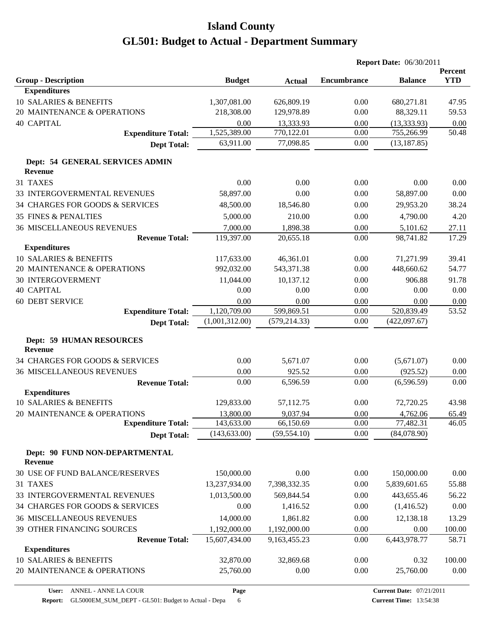|                                                   |                |               | <b>Report Date: 06/30/2011</b> |                |                       |  |
|---------------------------------------------------|----------------|---------------|--------------------------------|----------------|-----------------------|--|
| <b>Group - Description</b>                        | <b>Budget</b>  | <b>Actual</b> | Encumbrance                    | <b>Balance</b> | Percent<br><b>YTD</b> |  |
| <b>Expenditures</b>                               |                |               |                                |                |                       |  |
| 10 SALARIES & BENEFITS                            | 1,307,081.00   | 626,809.19    | 0.00                           | 680,271.81     | 47.95                 |  |
| 20 MAINTENANCE & OPERATIONS                       | 218,308.00     | 129,978.89    | 0.00                           | 88,329.11      | 59.53                 |  |
| <b>40 CAPITAL</b>                                 | 0.00           | 13,333.93     | 0.00                           | (13, 333.93)   | 0.00                  |  |
| <b>Expenditure Total:</b>                         | 1,525,389.00   | 770,122.01    | 0.00                           | 755,266.99     | 50.48                 |  |
| <b>Dept Total:</b>                                | 63,911.00      | 77,098.85     | 0.00                           | (13, 187.85)   |                       |  |
| Dept: 54 GENERAL SERVICES ADMIN<br><b>Revenue</b> |                |               |                                |                |                       |  |
| 31 TAXES                                          | 0.00           | 0.00          | 0.00                           | 0.00           | 0.00                  |  |
| 33 INTERGOVERMENTAL REVENUES                      | 58,897.00      | 0.00          | 0.00                           | 58,897.00      | 0.00                  |  |
| 34 CHARGES FOR GOODS & SERVICES                   | 48,500.00      | 18,546.80     | 0.00                           | 29,953.20      | 38.24                 |  |
| <b>35 FINES &amp; PENALTIES</b>                   | 5,000.00       | 210.00        | 0.00                           | 4,790.00       | 4.20                  |  |
| <b>36 MISCELLANEOUS REVENUES</b>                  | 7,000.00       | 1,898.38      | 0.00                           | 5,101.62       | 27.11                 |  |
| <b>Revenue Total:</b>                             | 119,397.00     | 20,655.18     | 0.00                           | 98,741.82      | 17.29                 |  |
| <b>Expenditures</b>                               |                |               |                                |                |                       |  |
| 10 SALARIES & BENEFITS                            | 117,633.00     | 46,361.01     | 0.00                           | 71,271.99      | 39.41                 |  |
| 20 MAINTENANCE & OPERATIONS                       | 992,032.00     | 543,371.38    | 0.00                           | 448,660.62     | 54.77                 |  |
| <b>30 INTERGOVERMENT</b>                          | 11,044.00      | 10,137.12     | 0.00                           | 906.88         | 91.78                 |  |
| <b>40 CAPITAL</b>                                 | 0.00           | 0.00          | 0.00                           | 0.00           | 0.00                  |  |
| <b>60 DEBT SERVICE</b>                            | 0.00           | 0.00          | 0.00                           | 0.00           | 0.00                  |  |
| <b>Expenditure Total:</b>                         | 1,120,709.00   | 599,869.51    | 0.00                           | 520,839.49     | 53.52                 |  |
| <b>Dept Total:</b>                                | (1,001,312.00) | (579, 214.33) | 0.00                           | (422,097.67)   |                       |  |
| <b>Dept: 59 HUMAN RESOURCES</b><br><b>Revenue</b> |                |               |                                |                |                       |  |
| 34 CHARGES FOR GOODS & SERVICES                   | 0.00           | 5,671.07      | 0.00                           | (5,671.07)     | 0.00                  |  |
| <b>36 MISCELLANEOUS REVENUES</b>                  | 0.00           | 925.52        | 0.00                           | (925.52)       | 0.00                  |  |
| <b>Revenue Total:</b>                             | 0.00           | 6,596.59      | 0.00                           | (6, 596.59)    | 0.00                  |  |
| <b>Expenditures</b>                               |                |               |                                |                |                       |  |
| 10 SALARIES & BENEFITS                            | 129,833.00     | 57,112.75     | 0.00                           | 72,720.25      | 43.98                 |  |
| 20 MAINTENANCE & OPERATIONS                       | 13,800.00      | 9,037.94      | $0.00\,$                       | 4,762.06       | 65.49                 |  |
| <b>Expenditure Total:</b>                         | 143,633.00     | 66,150.69     | 0.00                           | 77,482.31      | 46.05                 |  |
| <b>Dept Total:</b>                                | (143, 633.00)  | (59, 554.10)  | 0.00                           | (84,078.90)    |                       |  |
| Dept: 90 FUND NON-DEPARTMENTAL<br><b>Revenue</b>  |                |               |                                |                |                       |  |
| 30 USE OF FUND BALANCE/RESERVES                   | 150,000.00     | 0.00          | 0.00                           | 150,000.00     | 0.00                  |  |
| 31 TAXES                                          | 13,237,934.00  | 7,398,332.35  | 0.00                           | 5,839,601.65   | 55.88                 |  |
| 33 INTERGOVERMENTAL REVENUES                      | 1,013,500.00   | 569,844.54    | 0.00                           | 443,655.46     | 56.22                 |  |
| 34 CHARGES FOR GOODS & SERVICES                   | 0.00           | 1,416.52      | 0.00                           | (1,416.52)     | 0.00                  |  |
| 36 MISCELLANEOUS REVENUES                         | 14,000.00      | 1,861.82      | 0.00                           | 12,138.18      | 13.29                 |  |
| 39 OTHER FINANCING SOURCES                        | 1,192,000.00   | 1,192,000.00  | 0.00                           | 0.00           | 100.00                |  |
| <b>Revenue Total:</b>                             | 15,607,434.00  | 9,163,455.23  | 0.00                           | 6,443,978.77   | 58.71                 |  |
| <b>Expenditures</b>                               |                |               |                                |                |                       |  |
| 10 SALARIES & BENEFITS                            | 32,870.00      | 32,869.68     | 0.00                           | 0.32           | 100.00                |  |
| 20 MAINTENANCE & OPERATIONS                       | 25,760.00      | 0.00          | 0.00                           | 25,760.00      | 0.00                  |  |

**Page**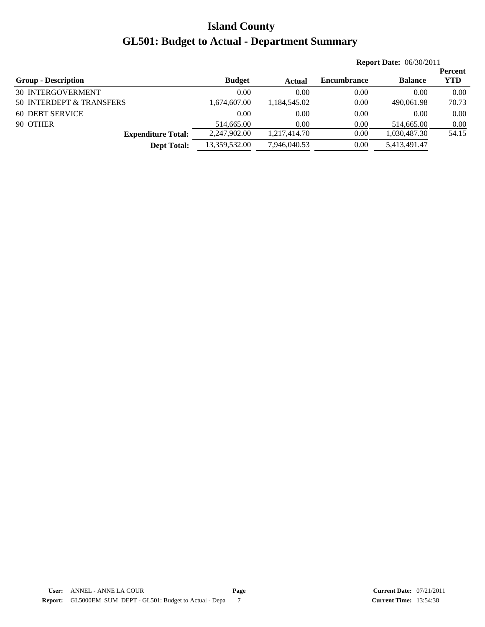|                            |               |              | <b>Report Date: 06/30/2011</b> |                |                |
|----------------------------|---------------|--------------|--------------------------------|----------------|----------------|
|                            |               |              |                                |                | <b>Percent</b> |
| <b>Group - Description</b> | <b>Budget</b> | Actual       | <b>Encumbrance</b>             | <b>Balance</b> | <b>YTD</b>     |
| <b>30 INTERGOVERMENT</b>   | 0.00          | 0.00         | 0.00                           | 0.00           | 0.00           |
| 50 INTERDEPT & TRANSFERS   | 1,674,607.00  | 1,184,545.02 | 0.00                           | 490,061.98     | 70.73          |
| 60 DEBT SERVICE            | 0.00          | 0.00         | 0.00                           | 0.00           | 0.00           |
| 90 OTHER                   | 514,665.00    | 0.00         | 0.00                           | 514,665.00     | 0.00           |
| <b>Expenditure Total:</b>  | 2,247,902.00  | 1.217.414.70 | 0.00                           | 1,030,487.30   | 54.15          |
| <b>Dept Total:</b>         | 13,359,532.00 | 7,946,040.53 | 0.00                           | 5,413,491.47   |                |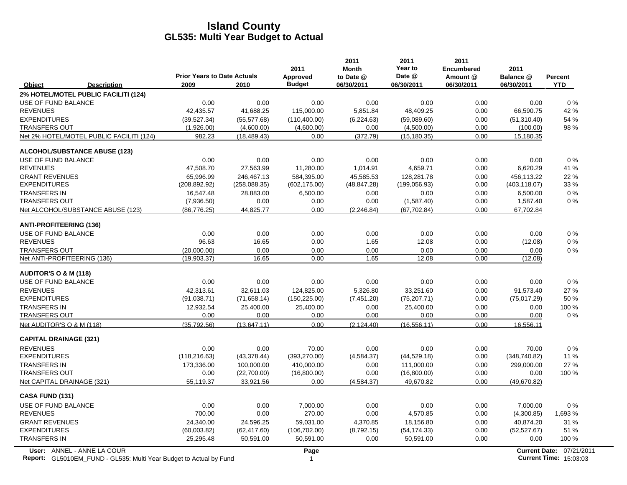|                                                                                                  | <b>Prior Years to Date Actuals</b> |              | 2011<br><b>Approved</b> | 2011<br><b>Month</b><br>to Date @ | 2011<br>Year to<br>Date @ | 2011<br><b>Encumbered</b><br>Amount @ | 2011<br>Balance @ | Percent                                                   |
|--------------------------------------------------------------------------------------------------|------------------------------------|--------------|-------------------------|-----------------------------------|---------------------------|---------------------------------------|-------------------|-----------------------------------------------------------|
| Object<br><b>Description</b>                                                                     | 2009                               | 2010         | <b>Budget</b>           | 06/30/2011                        | 06/30/2011                | 06/30/2011                            | 06/30/2011        | <b>YTD</b>                                                |
| 2% HOTEL/MOTEL PUBLIC FACILITI (124)                                                             |                                    |              |                         |                                   |                           |                                       |                   |                                                           |
| USE OF FUND BALANCE                                                                              | 0.00                               | 0.00         | 0.00                    | 0.00                              | 0.00                      | 0.00                                  | 0.00              | $0\%$                                                     |
| <b>REVENUES</b>                                                                                  | 42,435.57                          | 41,688.25    | 115,000.00              | 5,851.84                          | 48,409.25                 | 0.00                                  | 66,590.75         | 42 %                                                      |
| <b>EXPENDITURES</b>                                                                              | (39, 527.34)                       | (55, 577.68) | (110, 400.00)           | (6, 224.63)                       | (59,089.60)               | 0.00                                  | (51,310.40)       | 54 %                                                      |
| <b>TRANSFERS OUT</b>                                                                             | (1,926.00)                         | (4,600.00)   | (4,600.00)              | 0.00                              | (4,500.00)                | 0.00                                  | (100.00)          | 98 %                                                      |
| Net 2% HOTEL/MOTEL PUBLIC FACILITI (124)                                                         | 982.23                             | (18, 489.43) | 0.00                    | (372.79)                          | (15, 180.35)              | 0.00                                  | 15,180.35         |                                                           |
| <b>ALCOHOL/SUBSTANCE ABUSE (123)</b>                                                             |                                    |              |                         |                                   |                           |                                       |                   |                                                           |
| USE OF FUND BALANCE                                                                              | 0.00                               | 0.00         | 0.00                    | 0.00                              | 0.00                      | 0.00                                  | 0.00              | 0%                                                        |
| <b>REVENUES</b>                                                                                  | 47,508.70                          | 27,563.99    | 11,280.00               | 1,014.91                          | 4,659.71                  | 0.00                                  | 6,620.29          | 41 %                                                      |
| <b>GRANT REVENUES</b>                                                                            | 65.996.99                          | 246.467.13   | 584.395.00              | 45.585.53                         | 128,281.78                | 0.00                                  | 456.113.22        | 22 %                                                      |
| <b>EXPENDITURES</b>                                                                              | (208, 892.92)                      | (258,088.35) | (602, 175.00)           | (48, 847.28)                      | (199, 056.93)             | 0.00                                  | (403, 118.07)     | 33 %                                                      |
| <b>TRANSFERS IN</b>                                                                              | 16,547.48                          | 28,883.00    | 6,500.00                | 0.00                              | 0.00                      | 0.00                                  | 6,500.00          | $0\%$                                                     |
| <b>TRANSFERS OUT</b>                                                                             | (7,936.50)                         | 0.00         | 0.00                    | 0.00                              | (1,587.40)                | 0.00                                  | 1,587.40          | $0\%$                                                     |
| Net ALCOHOL/SUBSTANCE ABUSE (123)                                                                | (86, 776.25)                       | 44,825.77    | 0.00                    | (2, 246.84)                       | (67, 702.84)              | 0.00                                  | 67,702.84         |                                                           |
| <b>ANTI-PROFITEERING (136)</b>                                                                   |                                    |              |                         |                                   |                           |                                       |                   |                                                           |
| USE OF FUND BALANCE                                                                              | 0.00                               | 0.00         | 0.00                    | 0.00                              | 0.00                      | 0.00                                  | 0.00              | $0\%$                                                     |
| <b>REVENUES</b>                                                                                  | 96.63                              | 16.65        | 0.00                    | 1.65                              | 12.08                     | 0.00                                  | (12.08)           | $0\%$                                                     |
| <b>TRANSFERS OUT</b>                                                                             | (20,000.00)                        | 0.00         | 0.00                    | 0.00                              | 0.00                      | 0.00                                  | 0.00              | $0\%$                                                     |
| Net ANTI-PROFITEERING (136)                                                                      | (19,903.37)                        | 16.65        | 0.00                    | 1.65                              | 12.08                     | 0.00                                  | (12.08)           |                                                           |
| <b>AUDITOR'S O &amp; M (118)</b>                                                                 |                                    |              |                         |                                   |                           |                                       |                   |                                                           |
| USE OF FUND BALANCE                                                                              | 0.00                               | 0.00         | 0.00                    | 0.00                              | 0.00                      | 0.00                                  | 0.00              | 0%                                                        |
| <b>REVENUES</b>                                                                                  | 42,313.61                          | 32,611.03    | 124,825.00              | 5,326.80                          | 33,251.60                 | 0.00                                  | 91,573.40         | 27 %                                                      |
| <b>EXPENDITURES</b>                                                                              | (91,038.71)                        | (71, 658.14) | (150, 225.00)           | (7,451.20)                        | (75, 207.71)              | 0.00                                  | (75,017.29)       | 50 %                                                      |
| <b>TRANSFERS IN</b>                                                                              | 12,932.54                          | 25,400.00    | 25,400.00               | 0.00                              | 25,400.00                 | 0.00                                  | 0.00              | 100 %                                                     |
| <b>TRANSFERS OUT</b>                                                                             | 0.00                               | 0.00         | 0.00                    | 0.00                              | 0.00                      | 0.00                                  | 0.00              | $0\%$                                                     |
| Net AUDITOR'S O & M (118)                                                                        | (35.792.56)                        | (13, 647.11) | 0.00                    | (2, 124.40)                       | (16, 556.11)              | 0.00                                  | 16,556.11         |                                                           |
| <b>CAPITAL DRAINAGE (321)</b>                                                                    |                                    |              |                         |                                   |                           |                                       |                   |                                                           |
| <b>REVENUES</b>                                                                                  | 0.00                               | 0.00         | 70.00                   | 0.00                              | 0.00                      | 0.00                                  | 70.00             | 0%                                                        |
| <b>EXPENDITURES</b>                                                                              | (118, 216.63)                      | (43, 378.44) | (393, 270.00)           | (4,584.37)                        | (44, 529.18)              | 0.00                                  | (348, 740.82)     | 11 %                                                      |
| <b>TRANSFERS IN</b>                                                                              | 173,336.00                         | 100,000.00   | 410,000.00              | 0.00                              | 111,000.00                | 0.00                                  | 299,000.00        | 27 %                                                      |
| <b>TRANSFERS OUT</b>                                                                             | 0.00                               | (22,700.00)  | (16,800.00)             | 0.00                              | (16,800.00)               | 0.00                                  | 0.00              | 100 %                                                     |
| Net CAPITAL DRAINAGE (321)                                                                       | 55,119.37                          | 33,921.56    | 0.00                    | (4,584.37)                        | 49,670.82                 | 0.00                                  | (49,670.82)       |                                                           |
| CASA FUND (131)                                                                                  |                                    |              |                         |                                   |                           |                                       |                   |                                                           |
| USE OF FUND BALANCE                                                                              | 0.00                               | 0.00         | 7,000.00                | 0.00                              | 0.00                      | 0.00                                  | 7,000.00          | $0\%$                                                     |
| <b>REVENUES</b>                                                                                  | 700.00                             | 0.00         | 270.00                  | 0.00                              | 4,570.85                  | 0.00                                  | (4,300.85)        | 1,693 %                                                   |
| <b>GRANT REVENUES</b>                                                                            | 24,340.00                          | 24,596.25    | 59.031.00               | 4,370.85                          | 18,156.80                 | 0.00                                  | 40,874.20         | 31 %                                                      |
| <b>EXPENDITURES</b>                                                                              | (60,003.82)                        | (62, 417.60) | (106, 702.00)           | (8,792.15)                        | (54, 174.33)              | 0.00                                  | (52, 527.67)      | 51 %                                                      |
| <b>TRANSFERS IN</b>                                                                              | 25,295.48                          | 50,591.00    | 50,591.00               | 0.00                              | 50,591.00                 | 0.00                                  | 0.00              | 100 %                                                     |
| User: ANNEL - ANNE LA COUR<br>Report: GL5010EM_FUND - GL535: Multi Year Budget to Actual by Fund |                                    |              | Page<br>$\mathbf{1}$    |                                   |                           |                                       |                   | Current Date: 07/21/2011<br><b>Current Time: 15:03:03</b> |

Report: GL5010EM\_FUND - GL535: Multi Year Budget to Actual by Fund 15:03:03 15:03:03 15:03:03 15:03:03 15:03:03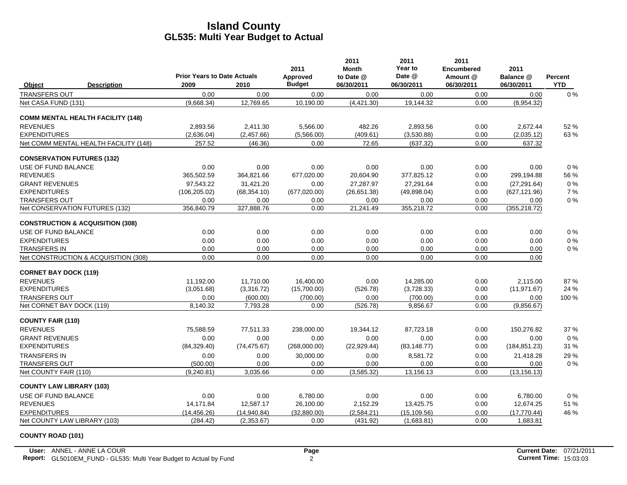|                                 |                                             | <b>Prior Years to Date Actuals</b> |              | 2011                      | 2011<br>Month           | 2011<br>Year to      | 2011<br><b>Encumbered</b> | 2011                    |                              |
|---------------------------------|---------------------------------------------|------------------------------------|--------------|---------------------------|-------------------------|----------------------|---------------------------|-------------------------|------------------------------|
| Object                          | <b>Description</b>                          | 2009                               | 2010         | Approved<br><b>Budget</b> | to Date @<br>06/30/2011 | Date @<br>06/30/2011 | Amount @<br>06/30/2011    | Balance @<br>06/30/2011 | <b>Percent</b><br><b>YTD</b> |
| <b>TRANSFERS OUT</b>            |                                             | 0.00                               | 0.00         | 0.00                      | 0.00                    | 0.00                 | 0.00                      | 0.00                    | $0\%$                        |
| Net CASA FUND (131)             |                                             | (9,668.34)                         | 12,769.65    | 10,190.00                 | (4,421.30)              | 19,144.32            | 0.00                      | (8,954.32)              |                              |
|                                 | <b>COMM MENTAL HEALTH FACILITY (148)</b>    |                                    |              |                           |                         |                      |                           |                         |                              |
| <b>REVENUES</b>                 |                                             | 2.893.56                           | 2.411.30     | 5.566.00                  | 482.26                  | 2.893.56             | 0.00                      | 2,672.44                | 52 %                         |
| <b>EXPENDITURES</b>             |                                             | (2,636.04)                         | (2,457.66)   | (5,566.00)                | (409.61)                | (3,530.88)           | 0.00                      | (2,035.12)              | 63%                          |
|                                 | Net COMM MENTAL HEALTH FACILITY (148)       | 257.52                             | (46.36)      | 0.00                      | 72.65                   | (637.32)             | 0.00                      | 637.32                  |                              |
|                                 | <b>CONSERVATION FUTURES (132)</b>           |                                    |              |                           |                         |                      |                           |                         |                              |
| USE OF FUND BALANCE             |                                             | 0.00                               | 0.00         | 0.00                      | 0.00                    | 0.00                 | 0.00                      | 0.00                    | 0%                           |
| <b>REVENUES</b>                 |                                             | 365,502.59                         | 364,821.66   | 677,020.00                | 20,604.90               | 377,825.12           | 0.00                      | 299,194.88              | 56 %                         |
| <b>GRANT REVENUES</b>           |                                             | 97.543.22                          | 31,421.20    | 0.00                      | 27.287.97               | 27.291.64            | 0.00                      | (27, 291.64)            | 0%                           |
| <b>EXPENDITURES</b>             |                                             | (106, 205.02)                      | (68, 354.10) | (677, 020.00)             | (26,651.38)             | (49,898.04)          | 0.00                      | (627, 121.96)           | 7%                           |
| <b>TRANSFERS OUT</b>            |                                             | 0.00                               | 0.00         | 0.00                      | 0.00                    | 0.00                 | 0.00                      | 0.00                    | 0%                           |
|                                 | Net CONSERVATION FUTURES (132)              | 356,840.79                         | 327,888.76   | 0.00                      | 21,241.49               | 355,218.72           | 0.00                      | (355, 218.72)           |                              |
|                                 | <b>CONSTRUCTION &amp; ACQUISITION (308)</b> |                                    |              |                           |                         |                      |                           |                         |                              |
| USE OF FUND BALANCE             |                                             | 0.00                               | 0.00         | 0.00                      | 0.00                    | 0.00                 | 0.00                      | 0.00                    | 0%                           |
| <b>EXPENDITURES</b>             |                                             | 0.00                               | 0.00         | 0.00                      | 0.00                    | 0.00                 | 0.00                      | 0.00                    | 0%                           |
| <b>TRANSFERS IN</b>             |                                             | 0.00                               | 0.00         | 0.00                      | 0.00                    | 0.00                 | 0.00                      | 0.00                    | $0\%$                        |
|                                 | Net CONSTRUCTION & ACQUISITION (308)        | 0.00                               | 0.00         | 0.00                      | 0.00                    | 0.00                 | 0.00                      | 0.00                    |                              |
| <b>CORNET BAY DOCK (119)</b>    |                                             |                                    |              |                           |                         |                      |                           |                         |                              |
| <b>REVENUES</b>                 |                                             | 11,192.00                          | 11,710.00    | 16,400.00                 | 0.00                    | 14,285.00            | 0.00                      | 2.115.00                | 87%                          |
| <b>EXPENDITURES</b>             |                                             | (3,051.68)                         | (3,316.72)   | (15,700.00)               | (526.78)                | (3,728.33)           | 0.00                      | (11, 971.67)            | 24 %                         |
| <b>TRANSFERS OUT</b>            |                                             | 0.00                               | (600.00)     | (700.00)                  | 0.00                    | (700.00)             | 0.00                      | 0.00                    | 100 %                        |
| Net CORNET BAY DOCK (119)       |                                             | 8,140.32                           | 7,793.28     | 0.00                      | (526.78)                | 9,856.67             | 0.00                      | (9,856.67)              |                              |
| <b>COUNTY FAIR (110)</b>        |                                             |                                    |              |                           |                         |                      |                           |                         |                              |
| <b>REVENUES</b>                 |                                             | 75,588.59                          | 77,511.33    | 238,000.00                | 19,344.12               | 87,723.18            | 0.00                      | 150,276.82              | 37%                          |
| <b>GRANT REVENUES</b>           |                                             | 0.00                               | 0.00         | 0.00                      | 0.00                    | 0.00                 | 0.00                      | 0.00                    | 0%                           |
| <b>EXPENDITURES</b>             |                                             | (84, 329.40)                       | (74, 475.67) | (268,000.00)              | (22, 929.44)            | (83, 148.77)         | 0.00                      | (184, 851.23)           | 31 %                         |
| <b>TRANSFERS IN</b>             |                                             | 0.00                               | 0.00         | 30,000.00                 | 0.00                    | 8,581.72             | 0.00                      | 21,418.28               | 29 %                         |
| <b>TRANSFERS OUT</b>            |                                             | (500.00)                           | 0.00         | 0.00                      | 0.00                    | 0.00                 | 0.00                      | 0.00                    | 0%                           |
| Net COUNTY FAIR (110)           |                                             | (9,240.81)                         | 3,035.66     | 0.00                      | (3,585.32)              | 13,156.13            | 0.00                      | (13, 156.13)            |                              |
| <b>COUNTY LAW LIBRARY (103)</b> |                                             |                                    |              |                           |                         |                      |                           |                         |                              |
| <b>USE OF FUND BALANCE</b>      |                                             | 0.00                               | 0.00         | 6,780.00                  | 0.00                    | 0.00                 | 0.00                      | 6,780.00                | 0%                           |
| <b>REVENUES</b>                 |                                             | 14,171.84                          | 12,587.17    | 26,100.00                 | 2,152.29                | 13,425.75            | 0.00                      | 12,674.25               | 51 %                         |
| <b>EXPENDITURES</b>             |                                             | (14.456.26)                        | (14, 940.84) | (32.880.00)               | (2.584.21)              | (15, 109.56)         | 0.00                      | (17, 770.44)            | 46 %                         |
|                                 | Net COUNTY LAW LIBRARY (103)                | (284.42)                           | (2,353.67)   | 0.00                      | (431.92)                | (1,683.81)           | 0.00                      | 1,683.81                |                              |

**COUNTY ROAD (101)**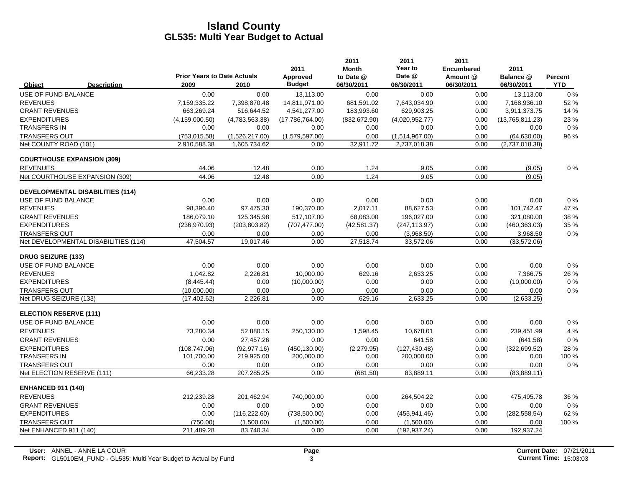|                                   |                                         |                                            |                | 2011                      | 2011<br><b>Month</b>    | 2011<br>Year to      | 2011<br><b>Encumbered</b> | 2011                    |                       |
|-----------------------------------|-----------------------------------------|--------------------------------------------|----------------|---------------------------|-------------------------|----------------------|---------------------------|-------------------------|-----------------------|
| Object                            | <b>Description</b>                      | <b>Prior Years to Date Actuals</b><br>2009 | 2010           | Approved<br><b>Budget</b> | to Date @<br>06/30/2011 | Date @<br>06/30/2011 | Amount @<br>06/30/2011    | Balance @<br>06/30/2011 | Percent<br><b>YTD</b> |
| USE OF FUND BALANCE               |                                         | 0.00                                       | 0.00           | 13,113.00                 | 0.00                    | 0.00                 | 0.00                      | 13,113.00               | 0%                    |
| <b>REVENUES</b>                   |                                         | 7,159,335.22                               | 7,398,870.48   | 14,811,971.00             | 681,591.02              | 7.643.034.90         | 0.00                      | 7,168,936.10            | 52 %                  |
| <b>GRANT REVENUES</b>             |                                         | 663,269.24                                 | 516,644.52     | 4,541,277.00              | 183,993.60              | 629,903.25           | 0.00                      | 3,911,373.75            | 14 %                  |
| <b>EXPENDITURES</b>               |                                         | (4, 159, 000.50)                           | (4,783,563.38) | (17,786,764.00)           | (832, 672.90)           | (4,020,952.77)       | 0.00                      | (13,765,811.23)         | 23 %                  |
| <b>TRANSFERS IN</b>               |                                         | 0.00                                       | 0.00           | 0.00                      | 0.00                    | 0.00                 | 0.00                      | 0.00                    | $0\%$                 |
| <b>TRANSFERS OUT</b>              |                                         | (753, 015.58)                              | (1,526,217.00) | (1,579,597.00)            | 0.00                    | (1,514,967.00)       | 0.00                      | (64, 630.00)            | 96 %                  |
| Net COUNTY ROAD (101)             |                                         | 2.910.588.38                               | 1,605,734.62   | 0.00                      | 32.911.72               | 2,737,018.38         | 0.00                      | (2,737,018.38)          |                       |
| <b>COURTHOUSE EXPANSION (309)</b> |                                         |                                            |                |                           |                         |                      |                           |                         |                       |
| <b>REVENUES</b>                   |                                         | 44.06                                      | 12.48          | 0.00                      | 1.24                    | 9.05                 | 0.00                      | (9.05)                  | $0\%$                 |
|                                   | Net COURTHOUSE EXPANSION (309)          | 44.06                                      | 12.48          | 0.00                      | 1.24                    | 9.05                 | 0.00                      | (9.05)                  |                       |
|                                   | <b>DEVELOPMENTAL DISABILITIES (114)</b> |                                            |                |                           |                         |                      |                           |                         |                       |
| USE OF FUND BALANCE               |                                         | 0.00                                       | 0.00           | 0.00                      | 0.00                    | 0.00                 | 0.00                      | 0.00                    | 0%                    |
| <b>REVENUES</b>                   |                                         | 98,396.40                                  | 97,475.30      | 190,370.00                | 2,017.11                | 88,627.53            | 0.00                      | 101,742.47              | 47 %                  |
| <b>GRANT REVENUES</b>             |                                         | 186.079.10                                 | 125.345.98     | 517,107.00                | 68.083.00               | 196.027.00           | 0.00                      | 321,080.00              | 38 %                  |
| <b>EXPENDITURES</b>               |                                         | (236, 970.93)                              | (203, 803.82)  | (707, 477.00)             | (42, 581.37)            | (247, 113.97)        | 0.00                      | (460, 363.03)           | 35 %                  |
| <b>TRANSFERS OUT</b>              |                                         | 0.00                                       | 0.00           | 0.00                      | 0.00                    | (3,968.50)           | 0.00                      | 3,968.50                | 0%                    |
|                                   | Net DEVELOPMENTAL DISABILITIES (114)    | 47,504.57                                  | 19,017.46      | 0.00                      | 27,518.74               | 33,572.06            | 0.00                      | (33,572.06)             |                       |
| <b>DRUG SEIZURE (133)</b>         |                                         |                                            |                |                           |                         |                      |                           |                         |                       |
| USE OF FUND BALANCE               |                                         | 0.00                                       | 0.00           | 0.00                      | 0.00                    | 0.00                 | 0.00                      | 0.00                    | 0%                    |
| <b>REVENUES</b>                   |                                         | 1,042.82                                   | 2,226.81       | 10,000.00                 | 629.16                  | 2,633.25             | 0.00                      | 7,366.75                | 26 %                  |
| <b>EXPENDITURES</b>               |                                         | (8,445.44)                                 | 0.00           | (10,000.00)               | 0.00                    | 0.00                 | 0.00                      | (10,000.00)             | $0\%$                 |
| <b>TRANSFERS OUT</b>              |                                         | (10,000.00)                                | 0.00           | 0.00                      | 0.00                    | 0.00                 | 0.00                      | 0.00                    | $0\%$                 |
| Net DRUG SEIZURE (133)            |                                         | (17, 402.62)                               | 2,226.81       | 0.00                      | 629.16                  | 2,633.25             | 0.00                      | (2,633.25)              |                       |
| <b>ELECTION RESERVE (111)</b>     |                                         |                                            |                |                           |                         |                      |                           |                         |                       |
| USE OF FUND BALANCE               |                                         | 0.00                                       | 0.00           | 0.00                      | 0.00                    | 0.00                 | 0.00                      | 0.00                    | 0%                    |
| <b>REVENUES</b>                   |                                         | 73,280.34                                  | 52,880.15      | 250,130.00                | 1,598.45                | 10,678.01            | 0.00                      | 239,451.99              | 4 %                   |
| <b>GRANT REVENUES</b>             |                                         | 0.00                                       | 27,457.26      | 0.00                      | 0.00                    | 641.58               | 0.00                      | (641.58)                | $0\%$                 |
| <b>EXPENDITURES</b>               |                                         | (108, 747.06)                              | (92, 977, 16)  | (450, 130.00)             | (2,279.95)              | (127, 430.48)        | 0.00                      | (322, 699.52)           | 28 %                  |
| <b>TRANSFERS IN</b>               |                                         | 101,700.00                                 | 219,925.00     | 200,000.00                | 0.00                    | 200,000.00           | 0.00                      | 0.00                    | 100 %                 |
| <b>TRANSFERS OUT</b>              |                                         | 0.00                                       | 0.00           | 0.00                      | 0.00                    | 0.00                 | 0.00                      | 0.00                    | $0\%$                 |
| Net ELECTION RESERVE (111)        |                                         | 66,233.28                                  | 207,285.25     | 0.00                      | (681.50)                | 83,889.11            | 0.00                      | (83, 889.11)            |                       |
| <b>ENHANCED 911 (140)</b>         |                                         |                                            |                |                           |                         |                      |                           |                         |                       |
| <b>REVENUES</b>                   |                                         | 212,239.28                                 | 201,462.94     | 740,000.00                | 0.00                    | 264,504.22           | 0.00                      | 475,495.78              | 36 %                  |
| <b>GRANT REVENUES</b>             |                                         | 0.00                                       | 0.00           | 0.00                      | 0.00                    | 0.00                 | 0.00                      | 0.00                    | $0\%$                 |
| <b>EXPENDITURES</b>               |                                         | 0.00                                       | (116, 222.60)  | (738, 500.00)             | 0.00                    | (455, 941.46)        | 0.00                      | (282, 558.54)           | 62 %                  |
| <b>TRANSFERS OUT</b>              |                                         | (750.00)                                   | (1.500.00)     | (1,500.00)                | 0.00                    | (1,500.00)           | 0.00                      | 0.00                    | 100 %                 |
| Net ENHANCED 911 (140)            |                                         | 211,489.28                                 | 83,740.34      | 0.00                      | 0.00                    | (192, 937.24)        | 0.00                      | 192,937.24              |                       |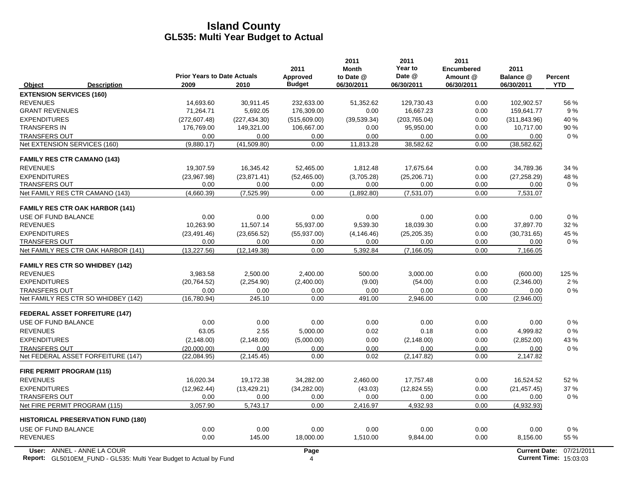| <b>Prior Years to Date Actuals</b><br>Date @<br><b>Approved</b><br>to Date @<br>Amount @<br>Balance @<br>Percent<br><b>Budget</b><br>2009<br>2010<br>06/30/2011<br>06/30/2011<br>06/30/2011<br>06/30/2011<br>Object<br><b>Description</b><br><b>EXTENSION SERVICES (160)</b><br><b>REVENUES</b><br>0.00<br>14,693.60<br>30,911.45<br>232,633.00<br>51,352.62<br>129,730.43<br>102,902.57<br>5,692.05<br><b>GRANT REVENUES</b><br>71,264.71<br>176,309.00<br>0.00<br>16,667.23<br>0.00<br>159,641.77<br><b>EXPENDITURES</b><br>(272, 607.48)<br>(227, 434.30)<br>(39,539.34)<br>(203, 765.04)<br>0.00<br>(311, 843.96)<br>(515,609.00)<br><b>TRANSFERS IN</b><br>176,769.00<br>149,321.00<br>106,667.00<br>0.00<br>95,950.00<br>0.00<br>10,717.00<br><b>TRANSFERS OUT</b><br>0.00<br>0.00<br>0.00<br>0.00<br>0.00<br>0.00<br>0.00<br>Net EXTENSION SERVICES (160)<br>(9,880.17)<br>(41,509.80)<br>0.00<br>11,813.28<br>38,582.62<br>0.00<br>(38, 582.62)<br><b>FAMILY RES CTR CAMANO (143)</b><br><b>REVENUES</b><br>16,345.42<br>52,465.00<br>1,812.48<br>17,675.64<br>0.00<br>19,307.59<br>34,789.36<br><b>EXPENDITURES</b><br>(23, 871.41)<br>(3,705.28)<br>(25, 206.71)<br>0.00<br>(27, 258.29)<br>(23,967.98)<br>(52, 465.00)<br><b>TRANSFERS OUT</b><br>0.00<br>0.00<br>0.00<br>0.00<br>0.00<br>0.00<br>0.00<br>Net FAMILY RES CTR CAMANO (143)<br>(7,525.99)<br>(1,892.80)<br>0.00<br>(4,660.39)<br>0.00<br>(7,531.07)<br>7,531.07<br><b>FAMILY RES CTR OAK HARBOR (141)</b><br>USE OF FUND BALANCE<br>0.00<br>0.00<br>0.00<br>0.00<br>0.00<br>0.00<br>0.00<br><b>REVENUES</b><br>10,263.90<br>11,507.14<br>55,937.00<br>9,539.30<br>18,039.30<br>0.00<br>37,897.70<br><b>EXPENDITURES</b><br>(23, 491.46)<br>(23,656.52)<br>(55,937.00)<br>(4, 146.46)<br>(25, 205.35)<br>0.00<br>(30, 731.65)<br><b>TRANSFERS OUT</b><br>0.00<br>0.00<br>0.00<br>0.00<br>0.00<br>0.00<br>0.00<br>0.00<br>Net FAMILY RES CTR OAK HARBOR (141)<br>(13, 227.56)<br>(12, 149.38)<br>0.00<br>5,392.84<br>(7, 166.05)<br>7,166.05<br><b>FAMILY RES CTR SO WHIDBEY (142)</b><br><b>REVENUES</b><br>3.983.58<br>2.500.00<br>2.400.00<br>500.00<br>3.000.00<br>0.00<br>(600.00)<br><b>EXPENDITURES</b><br>(20, 764.52)<br>(2,254.90)<br>(2,400.00)<br>(9.00)<br>(54.00)<br>0.00<br>(2,346.00)<br><b>TRANSFERS OUT</b><br>0.00<br>0.00<br>0.00<br>0.00<br>0.00<br>0.00<br>0.00<br>Net FAMILY RES CTR SO WHIDBEY (142)<br>(2,946.00)<br>(16,780.94)<br>245.10<br>0.00<br>491.00<br>2,946.00<br>0.00<br><b>FEDERAL ASSET FORFEITURE (147)</b><br>USE OF FUND BALANCE<br>0.00<br>0.00<br>0.00<br>0.00<br>0.00<br>0.00<br>0.00<br><b>REVENUES</b><br>63.05<br>2.55<br>5,000.00<br>0.02<br>0.18<br>0.00<br>4,999.82<br><b>EXPENDITURES</b><br>(2, 148.00)<br>(2, 148.00)<br>(5,000.00)<br>0.00<br>(2, 148.00)<br>0.00<br>(2,852.00)<br><b>TRANSFERS OUT</b><br>(20,000.00)<br>0.00<br>0.00<br>0.00<br>0.00<br>0.00<br>0.00<br>Net FEDERAL ASSET FORFEITURE (147)<br>(22,084.95)<br>(2, 145.45)<br>0.00<br>0.02<br>(2, 147.82)<br>0.00<br>2,147.82<br><b>FIRE PERMIT PROGRAM (115)</b> | <b>YTD</b><br>56 %<br>9 % |
|----------------------------------------------------------------------------------------------------------------------------------------------------------------------------------------------------------------------------------------------------------------------------------------------------------------------------------------------------------------------------------------------------------------------------------------------------------------------------------------------------------------------------------------------------------------------------------------------------------------------------------------------------------------------------------------------------------------------------------------------------------------------------------------------------------------------------------------------------------------------------------------------------------------------------------------------------------------------------------------------------------------------------------------------------------------------------------------------------------------------------------------------------------------------------------------------------------------------------------------------------------------------------------------------------------------------------------------------------------------------------------------------------------------------------------------------------------------------------------------------------------------------------------------------------------------------------------------------------------------------------------------------------------------------------------------------------------------------------------------------------------------------------------------------------------------------------------------------------------------------------------------------------------------------------------------------------------------------------------------------------------------------------------------------------------------------------------------------------------------------------------------------------------------------------------------------------------------------------------------------------------------------------------------------------------------------------------------------------------------------------------------------------------------------------------------------------------------------------------------------------------------------------------------------------------------------------------------------------------------------------------------------------------------------------------------------------------------------------------------------------------------------------------------------------------------------------------------------------------------------------------------------------------------------------------------------------------------------------------------------------------------------------------------------------------------|---------------------------|
|                                                                                                                                                                                                                                                                                                                                                                                                                                                                                                                                                                                                                                                                                                                                                                                                                                                                                                                                                                                                                                                                                                                                                                                                                                                                                                                                                                                                                                                                                                                                                                                                                                                                                                                                                                                                                                                                                                                                                                                                                                                                                                                                                                                                                                                                                                                                                                                                                                                                                                                                                                                                                                                                                                                                                                                                                                                                                                                                                                                                                                                                |                           |
|                                                                                                                                                                                                                                                                                                                                                                                                                                                                                                                                                                                                                                                                                                                                                                                                                                                                                                                                                                                                                                                                                                                                                                                                                                                                                                                                                                                                                                                                                                                                                                                                                                                                                                                                                                                                                                                                                                                                                                                                                                                                                                                                                                                                                                                                                                                                                                                                                                                                                                                                                                                                                                                                                                                                                                                                                                                                                                                                                                                                                                                                |                           |
|                                                                                                                                                                                                                                                                                                                                                                                                                                                                                                                                                                                                                                                                                                                                                                                                                                                                                                                                                                                                                                                                                                                                                                                                                                                                                                                                                                                                                                                                                                                                                                                                                                                                                                                                                                                                                                                                                                                                                                                                                                                                                                                                                                                                                                                                                                                                                                                                                                                                                                                                                                                                                                                                                                                                                                                                                                                                                                                                                                                                                                                                |                           |
|                                                                                                                                                                                                                                                                                                                                                                                                                                                                                                                                                                                                                                                                                                                                                                                                                                                                                                                                                                                                                                                                                                                                                                                                                                                                                                                                                                                                                                                                                                                                                                                                                                                                                                                                                                                                                                                                                                                                                                                                                                                                                                                                                                                                                                                                                                                                                                                                                                                                                                                                                                                                                                                                                                                                                                                                                                                                                                                                                                                                                                                                |                           |
|                                                                                                                                                                                                                                                                                                                                                                                                                                                                                                                                                                                                                                                                                                                                                                                                                                                                                                                                                                                                                                                                                                                                                                                                                                                                                                                                                                                                                                                                                                                                                                                                                                                                                                                                                                                                                                                                                                                                                                                                                                                                                                                                                                                                                                                                                                                                                                                                                                                                                                                                                                                                                                                                                                                                                                                                                                                                                                                                                                                                                                                                | 40 %                      |
|                                                                                                                                                                                                                                                                                                                                                                                                                                                                                                                                                                                                                                                                                                                                                                                                                                                                                                                                                                                                                                                                                                                                                                                                                                                                                                                                                                                                                                                                                                                                                                                                                                                                                                                                                                                                                                                                                                                                                                                                                                                                                                                                                                                                                                                                                                                                                                                                                                                                                                                                                                                                                                                                                                                                                                                                                                                                                                                                                                                                                                                                | 90 %                      |
|                                                                                                                                                                                                                                                                                                                                                                                                                                                                                                                                                                                                                                                                                                                                                                                                                                                                                                                                                                                                                                                                                                                                                                                                                                                                                                                                                                                                                                                                                                                                                                                                                                                                                                                                                                                                                                                                                                                                                                                                                                                                                                                                                                                                                                                                                                                                                                                                                                                                                                                                                                                                                                                                                                                                                                                                                                                                                                                                                                                                                                                                | $0\%$                     |
|                                                                                                                                                                                                                                                                                                                                                                                                                                                                                                                                                                                                                                                                                                                                                                                                                                                                                                                                                                                                                                                                                                                                                                                                                                                                                                                                                                                                                                                                                                                                                                                                                                                                                                                                                                                                                                                                                                                                                                                                                                                                                                                                                                                                                                                                                                                                                                                                                                                                                                                                                                                                                                                                                                                                                                                                                                                                                                                                                                                                                                                                |                           |
|                                                                                                                                                                                                                                                                                                                                                                                                                                                                                                                                                                                                                                                                                                                                                                                                                                                                                                                                                                                                                                                                                                                                                                                                                                                                                                                                                                                                                                                                                                                                                                                                                                                                                                                                                                                                                                                                                                                                                                                                                                                                                                                                                                                                                                                                                                                                                                                                                                                                                                                                                                                                                                                                                                                                                                                                                                                                                                                                                                                                                                                                |                           |
|                                                                                                                                                                                                                                                                                                                                                                                                                                                                                                                                                                                                                                                                                                                                                                                                                                                                                                                                                                                                                                                                                                                                                                                                                                                                                                                                                                                                                                                                                                                                                                                                                                                                                                                                                                                                                                                                                                                                                                                                                                                                                                                                                                                                                                                                                                                                                                                                                                                                                                                                                                                                                                                                                                                                                                                                                                                                                                                                                                                                                                                                | 34 %                      |
|                                                                                                                                                                                                                                                                                                                                                                                                                                                                                                                                                                                                                                                                                                                                                                                                                                                                                                                                                                                                                                                                                                                                                                                                                                                                                                                                                                                                                                                                                                                                                                                                                                                                                                                                                                                                                                                                                                                                                                                                                                                                                                                                                                                                                                                                                                                                                                                                                                                                                                                                                                                                                                                                                                                                                                                                                                                                                                                                                                                                                                                                | 48 %                      |
|                                                                                                                                                                                                                                                                                                                                                                                                                                                                                                                                                                                                                                                                                                                                                                                                                                                                                                                                                                                                                                                                                                                                                                                                                                                                                                                                                                                                                                                                                                                                                                                                                                                                                                                                                                                                                                                                                                                                                                                                                                                                                                                                                                                                                                                                                                                                                                                                                                                                                                                                                                                                                                                                                                                                                                                                                                                                                                                                                                                                                                                                | $0\%$                     |
|                                                                                                                                                                                                                                                                                                                                                                                                                                                                                                                                                                                                                                                                                                                                                                                                                                                                                                                                                                                                                                                                                                                                                                                                                                                                                                                                                                                                                                                                                                                                                                                                                                                                                                                                                                                                                                                                                                                                                                                                                                                                                                                                                                                                                                                                                                                                                                                                                                                                                                                                                                                                                                                                                                                                                                                                                                                                                                                                                                                                                                                                |                           |
|                                                                                                                                                                                                                                                                                                                                                                                                                                                                                                                                                                                                                                                                                                                                                                                                                                                                                                                                                                                                                                                                                                                                                                                                                                                                                                                                                                                                                                                                                                                                                                                                                                                                                                                                                                                                                                                                                                                                                                                                                                                                                                                                                                                                                                                                                                                                                                                                                                                                                                                                                                                                                                                                                                                                                                                                                                                                                                                                                                                                                                                                |                           |
|                                                                                                                                                                                                                                                                                                                                                                                                                                                                                                                                                                                                                                                                                                                                                                                                                                                                                                                                                                                                                                                                                                                                                                                                                                                                                                                                                                                                                                                                                                                                                                                                                                                                                                                                                                                                                                                                                                                                                                                                                                                                                                                                                                                                                                                                                                                                                                                                                                                                                                                                                                                                                                                                                                                                                                                                                                                                                                                                                                                                                                                                | $0\%$                     |
|                                                                                                                                                                                                                                                                                                                                                                                                                                                                                                                                                                                                                                                                                                                                                                                                                                                                                                                                                                                                                                                                                                                                                                                                                                                                                                                                                                                                                                                                                                                                                                                                                                                                                                                                                                                                                                                                                                                                                                                                                                                                                                                                                                                                                                                                                                                                                                                                                                                                                                                                                                                                                                                                                                                                                                                                                                                                                                                                                                                                                                                                | 32 %                      |
|                                                                                                                                                                                                                                                                                                                                                                                                                                                                                                                                                                                                                                                                                                                                                                                                                                                                                                                                                                                                                                                                                                                                                                                                                                                                                                                                                                                                                                                                                                                                                                                                                                                                                                                                                                                                                                                                                                                                                                                                                                                                                                                                                                                                                                                                                                                                                                                                                                                                                                                                                                                                                                                                                                                                                                                                                                                                                                                                                                                                                                                                | 45 %                      |
|                                                                                                                                                                                                                                                                                                                                                                                                                                                                                                                                                                                                                                                                                                                                                                                                                                                                                                                                                                                                                                                                                                                                                                                                                                                                                                                                                                                                                                                                                                                                                                                                                                                                                                                                                                                                                                                                                                                                                                                                                                                                                                                                                                                                                                                                                                                                                                                                                                                                                                                                                                                                                                                                                                                                                                                                                                                                                                                                                                                                                                                                | $0\%$                     |
|                                                                                                                                                                                                                                                                                                                                                                                                                                                                                                                                                                                                                                                                                                                                                                                                                                                                                                                                                                                                                                                                                                                                                                                                                                                                                                                                                                                                                                                                                                                                                                                                                                                                                                                                                                                                                                                                                                                                                                                                                                                                                                                                                                                                                                                                                                                                                                                                                                                                                                                                                                                                                                                                                                                                                                                                                                                                                                                                                                                                                                                                |                           |
|                                                                                                                                                                                                                                                                                                                                                                                                                                                                                                                                                                                                                                                                                                                                                                                                                                                                                                                                                                                                                                                                                                                                                                                                                                                                                                                                                                                                                                                                                                                                                                                                                                                                                                                                                                                                                                                                                                                                                                                                                                                                                                                                                                                                                                                                                                                                                                                                                                                                                                                                                                                                                                                                                                                                                                                                                                                                                                                                                                                                                                                                |                           |
|                                                                                                                                                                                                                                                                                                                                                                                                                                                                                                                                                                                                                                                                                                                                                                                                                                                                                                                                                                                                                                                                                                                                                                                                                                                                                                                                                                                                                                                                                                                                                                                                                                                                                                                                                                                                                                                                                                                                                                                                                                                                                                                                                                                                                                                                                                                                                                                                                                                                                                                                                                                                                                                                                                                                                                                                                                                                                                                                                                                                                                                                | 125 %                     |
|                                                                                                                                                                                                                                                                                                                                                                                                                                                                                                                                                                                                                                                                                                                                                                                                                                                                                                                                                                                                                                                                                                                                                                                                                                                                                                                                                                                                                                                                                                                                                                                                                                                                                                                                                                                                                                                                                                                                                                                                                                                                                                                                                                                                                                                                                                                                                                                                                                                                                                                                                                                                                                                                                                                                                                                                                                                                                                                                                                                                                                                                | 2%                        |
|                                                                                                                                                                                                                                                                                                                                                                                                                                                                                                                                                                                                                                                                                                                                                                                                                                                                                                                                                                                                                                                                                                                                                                                                                                                                                                                                                                                                                                                                                                                                                                                                                                                                                                                                                                                                                                                                                                                                                                                                                                                                                                                                                                                                                                                                                                                                                                                                                                                                                                                                                                                                                                                                                                                                                                                                                                                                                                                                                                                                                                                                | $0\%$                     |
|                                                                                                                                                                                                                                                                                                                                                                                                                                                                                                                                                                                                                                                                                                                                                                                                                                                                                                                                                                                                                                                                                                                                                                                                                                                                                                                                                                                                                                                                                                                                                                                                                                                                                                                                                                                                                                                                                                                                                                                                                                                                                                                                                                                                                                                                                                                                                                                                                                                                                                                                                                                                                                                                                                                                                                                                                                                                                                                                                                                                                                                                |                           |
|                                                                                                                                                                                                                                                                                                                                                                                                                                                                                                                                                                                                                                                                                                                                                                                                                                                                                                                                                                                                                                                                                                                                                                                                                                                                                                                                                                                                                                                                                                                                                                                                                                                                                                                                                                                                                                                                                                                                                                                                                                                                                                                                                                                                                                                                                                                                                                                                                                                                                                                                                                                                                                                                                                                                                                                                                                                                                                                                                                                                                                                                |                           |
|                                                                                                                                                                                                                                                                                                                                                                                                                                                                                                                                                                                                                                                                                                                                                                                                                                                                                                                                                                                                                                                                                                                                                                                                                                                                                                                                                                                                                                                                                                                                                                                                                                                                                                                                                                                                                                                                                                                                                                                                                                                                                                                                                                                                                                                                                                                                                                                                                                                                                                                                                                                                                                                                                                                                                                                                                                                                                                                                                                                                                                                                | 0%                        |
|                                                                                                                                                                                                                                                                                                                                                                                                                                                                                                                                                                                                                                                                                                                                                                                                                                                                                                                                                                                                                                                                                                                                                                                                                                                                                                                                                                                                                                                                                                                                                                                                                                                                                                                                                                                                                                                                                                                                                                                                                                                                                                                                                                                                                                                                                                                                                                                                                                                                                                                                                                                                                                                                                                                                                                                                                                                                                                                                                                                                                                                                | $0\%$                     |
|                                                                                                                                                                                                                                                                                                                                                                                                                                                                                                                                                                                                                                                                                                                                                                                                                                                                                                                                                                                                                                                                                                                                                                                                                                                                                                                                                                                                                                                                                                                                                                                                                                                                                                                                                                                                                                                                                                                                                                                                                                                                                                                                                                                                                                                                                                                                                                                                                                                                                                                                                                                                                                                                                                                                                                                                                                                                                                                                                                                                                                                                | 43 %                      |
|                                                                                                                                                                                                                                                                                                                                                                                                                                                                                                                                                                                                                                                                                                                                                                                                                                                                                                                                                                                                                                                                                                                                                                                                                                                                                                                                                                                                                                                                                                                                                                                                                                                                                                                                                                                                                                                                                                                                                                                                                                                                                                                                                                                                                                                                                                                                                                                                                                                                                                                                                                                                                                                                                                                                                                                                                                                                                                                                                                                                                                                                | $0\%$                     |
|                                                                                                                                                                                                                                                                                                                                                                                                                                                                                                                                                                                                                                                                                                                                                                                                                                                                                                                                                                                                                                                                                                                                                                                                                                                                                                                                                                                                                                                                                                                                                                                                                                                                                                                                                                                                                                                                                                                                                                                                                                                                                                                                                                                                                                                                                                                                                                                                                                                                                                                                                                                                                                                                                                                                                                                                                                                                                                                                                                                                                                                                |                           |
|                                                                                                                                                                                                                                                                                                                                                                                                                                                                                                                                                                                                                                                                                                                                                                                                                                                                                                                                                                                                                                                                                                                                                                                                                                                                                                                                                                                                                                                                                                                                                                                                                                                                                                                                                                                                                                                                                                                                                                                                                                                                                                                                                                                                                                                                                                                                                                                                                                                                                                                                                                                                                                                                                                                                                                                                                                                                                                                                                                                                                                                                |                           |
| 19.172.38<br>34,282.00<br><b>REVENUES</b><br>16,020.34<br>2,460.00<br>17,757.48<br>0.00<br>16,524.52                                                                                                                                                                                                                                                                                                                                                                                                                                                                                                                                                                                                                                                                                                                                                                                                                                                                                                                                                                                                                                                                                                                                                                                                                                                                                                                                                                                                                                                                                                                                                                                                                                                                                                                                                                                                                                                                                                                                                                                                                                                                                                                                                                                                                                                                                                                                                                                                                                                                                                                                                                                                                                                                                                                                                                                                                                                                                                                                                           | 52%                       |
| <b>EXPENDITURES</b><br>(13, 429.21)<br>(34, 282.00)<br>(43.03)<br>(21, 457.45)<br>(12,962.44)<br>(12, 824.55)<br>0.00                                                                                                                                                                                                                                                                                                                                                                                                                                                                                                                                                                                                                                                                                                                                                                                                                                                                                                                                                                                                                                                                                                                                                                                                                                                                                                                                                                                                                                                                                                                                                                                                                                                                                                                                                                                                                                                                                                                                                                                                                                                                                                                                                                                                                                                                                                                                                                                                                                                                                                                                                                                                                                                                                                                                                                                                                                                                                                                                          | 37 %                      |
| <b>TRANSFERS OUT</b><br>0.00<br>0.00<br>0.00<br>0.00<br>0.00<br>0.00<br>0.00                                                                                                                                                                                                                                                                                                                                                                                                                                                                                                                                                                                                                                                                                                                                                                                                                                                                                                                                                                                                                                                                                                                                                                                                                                                                                                                                                                                                                                                                                                                                                                                                                                                                                                                                                                                                                                                                                                                                                                                                                                                                                                                                                                                                                                                                                                                                                                                                                                                                                                                                                                                                                                                                                                                                                                                                                                                                                                                                                                                   | $0\%$                     |
| 5,743.17<br>2,416.97<br>4,932.93<br>0.00<br>Net FIRE PERMIT PROGRAM (115)<br>3,057.90<br>0.00<br>(4,932.93)                                                                                                                                                                                                                                                                                                                                                                                                                                                                                                                                                                                                                                                                                                                                                                                                                                                                                                                                                                                                                                                                                                                                                                                                                                                                                                                                                                                                                                                                                                                                                                                                                                                                                                                                                                                                                                                                                                                                                                                                                                                                                                                                                                                                                                                                                                                                                                                                                                                                                                                                                                                                                                                                                                                                                                                                                                                                                                                                                    |                           |
| <b>HISTORICAL PRESERVATION FUND (180)</b>                                                                                                                                                                                                                                                                                                                                                                                                                                                                                                                                                                                                                                                                                                                                                                                                                                                                                                                                                                                                                                                                                                                                                                                                                                                                                                                                                                                                                                                                                                                                                                                                                                                                                                                                                                                                                                                                                                                                                                                                                                                                                                                                                                                                                                                                                                                                                                                                                                                                                                                                                                                                                                                                                                                                                                                                                                                                                                                                                                                                                      |                           |
| USE OF FUND BALANCE<br>0.00<br>0.00<br>0.00<br>0.00<br>0.00<br>0.00<br>0.00                                                                                                                                                                                                                                                                                                                                                                                                                                                                                                                                                                                                                                                                                                                                                                                                                                                                                                                                                                                                                                                                                                                                                                                                                                                                                                                                                                                                                                                                                                                                                                                                                                                                                                                                                                                                                                                                                                                                                                                                                                                                                                                                                                                                                                                                                                                                                                                                                                                                                                                                                                                                                                                                                                                                                                                                                                                                                                                                                                                    | $0\%$                     |
| <b>REVENUES</b><br>0.00<br>145.00<br>18,000.00<br>1,510.00<br>9,844.00<br>0.00<br>8,156.00                                                                                                                                                                                                                                                                                                                                                                                                                                                                                                                                                                                                                                                                                                                                                                                                                                                                                                                                                                                                                                                                                                                                                                                                                                                                                                                                                                                                                                                                                                                                                                                                                                                                                                                                                                                                                                                                                                                                                                                                                                                                                                                                                                                                                                                                                                                                                                                                                                                                                                                                                                                                                                                                                                                                                                                                                                                                                                                                                                     | 55 %                      |
| User: ANNEL - ANNE LA COUR<br>Current Date: 07/21/2011<br>Page<br><b>Current Time: 15:03:03</b><br>Report: GL5010EM_FUND - GL535: Multi Year Budget to Actual by Fund<br>4                                                                                                                                                                                                                                                                                                                                                                                                                                                                                                                                                                                                                                                                                                                                                                                                                                                                                                                                                                                                                                                                                                                                                                                                                                                                                                                                                                                                                                                                                                                                                                                                                                                                                                                                                                                                                                                                                                                                                                                                                                                                                                                                                                                                                                                                                                                                                                                                                                                                                                                                                                                                                                                                                                                                                                                                                                                                                     |                           |

**Report:** GL5010EM\_FUND - GL535: Multi Year Budget to Actual by Fund 15:03:03 13:04 15:03:03 13:04 15:03:03 15:03:03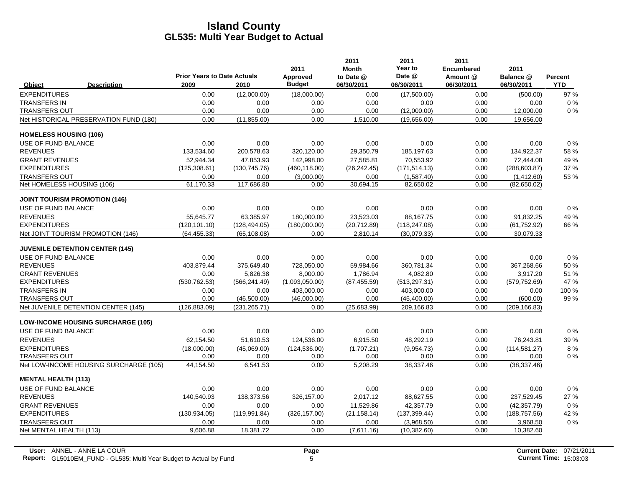|                               |                                           | <b>Prior Years to Date Actuals</b> |               | 2011<br>Approved | 2011<br><b>Month</b><br>to Date @ | 2011<br>Year to<br>Date @ | 2011<br><b>Encumbered</b><br>Amount @ | 2011<br>Balance @ | Percent    |
|-------------------------------|-------------------------------------------|------------------------------------|---------------|------------------|-----------------------------------|---------------------------|---------------------------------------|-------------------|------------|
| Object                        | <b>Description</b>                        | 2009                               | 2010          | <b>Budget</b>    | 06/30/2011                        | 06/30/2011                | 06/30/2011                            | 06/30/2011        | <b>YTD</b> |
| <b>EXPENDITURES</b>           |                                           | 0.00                               | (12,000.00)   | (18,000.00)      | 0.00                              | (17,500.00)               | 0.00                                  | (500.00)          | 97 %       |
| <b>TRANSFERS IN</b>           |                                           | 0.00                               | 0.00          | 0.00             | 0.00                              | 0.00                      | 0.00                                  | 0.00              | $0\%$      |
| <b>TRANSFERS OUT</b>          |                                           | 0.00                               | 0.00          | 0.00             | 0.00                              | (12,000.00)               | 0.00                                  | 12,000.00         | 0%         |
|                               | Net HISTORICAL PRESERVATION FUND (180)    | 0.00                               | (11, 855.00)  | 0.00             | 1,510.00                          | (19,656.00)               | 0.00                                  | 19,656.00         |            |
| <b>HOMELESS HOUSING (106)</b> |                                           |                                    |               |                  |                                   |                           |                                       |                   |            |
| USE OF FUND BALANCE           |                                           | 0.00                               | 0.00          | 0.00             | 0.00                              | 0.00                      | 0.00                                  | 0.00              | 0%         |
| <b>REVENUES</b>               |                                           | 133,534.60                         | 200,578.63    | 320,120.00       | 29,350.79                         | 185,197.63                | 0.00                                  | 134,922.37        | 58 %       |
| <b>GRANT REVENUES</b>         |                                           | 52,944.34                          | 47,853.93     | 142,998.00       | 27,585.81                         | 70,553.92                 | 0.00                                  | 72,444.08         | 49 %       |
| <b>EXPENDITURES</b>           |                                           | (125, 308.61)                      | (130, 745.76) | (460, 118.00)    | (26, 242.45)                      | (171, 514.13)             | 0.00                                  | (288, 603.87)     | 37 %       |
| <b>TRANSFERS OUT</b>          |                                           | 0.00                               | 0.00          | (3,000.00)       | 0.00                              | (1,587.40)                | 0.00                                  | (1,412.60)        | 53 %       |
| Net HOMELESS HOUSING (106)    |                                           | 61,170.33                          | 117,686.80    | 0.00             | 30,694.15                         | 82,650.02                 | 0.00                                  | (82,650.02)       |            |
|                               | <b>JOINT TOURISM PROMOTION (146)</b>      |                                    |               |                  |                                   |                           |                                       |                   |            |
| USE OF FUND BALANCE           |                                           | 0.00                               | 0.00          | 0.00             | 0.00                              | 0.00                      | 0.00                                  | 0.00              | $0\%$      |
| <b>REVENUES</b>               |                                           | 55.645.77                          | 63.385.97     | 180,000.00       | 23.523.03                         | 88.167.75                 | 0.00                                  | 91,832.25         | 49 %       |
| <b>EXPENDITURES</b>           |                                           | (120, 101.10)                      | (128, 494.05) | (180,000.00)     | (20, 712.89)                      | (118, 247.08)             | 0.00                                  | (61, 752.92)      | 66 %       |
|                               | Net JOINT TOURISM PROMOTION (146)         | (64, 455.33)                       | (65, 108.08)  | 0.00             | 2,810.14                          | (30.079.33)               | 0.00                                  | 30,079.33         |            |
|                               | <b>JUVENILE DETENTION CENTER (145)</b>    |                                    |               |                  |                                   |                           |                                       |                   |            |
| USE OF FUND BALANCE           |                                           | 0.00                               | 0.00          | 0.00             | 0.00                              | 0.00                      | 0.00                                  | 0.00              | $0\%$      |
| <b>REVENUES</b>               |                                           | 403.879.44                         | 375,649.40    | 728,050.00       | 59,984.66                         | 360,781.34                | 0.00                                  | 367,268.66        | 50 %       |
| <b>GRANT REVENUES</b>         |                                           | 0.00                               | 5,826.38      | 8,000.00         | 1,786.94                          | 4,082.80                  | 0.00                                  | 3,917.20          | 51 %       |
| <b>EXPENDITURES</b>           |                                           | (530, 762.53)                      | (566, 241.49) | (1,093,050.00)   | (87, 455.59)                      | (513, 297.31)             | 0.00                                  | (579, 752.69)     | 47 %       |
| <b>TRANSFERS IN</b>           |                                           | 0.00                               | 0.00          | 403,000.00       | 0.00                              | 403,000.00                | 0.00                                  | 0.00              | 100 %      |
| <b>TRANSFERS OUT</b>          |                                           | 0.00                               | (46,500.00)   | (46,000.00)      | 0.00                              | (45, 400.00)              | 0.00                                  | (600.00)          | 99 %       |
|                               | Net JUVENILE DETENTION CENTER (145)       | (126, 883.09)                      | (231, 265.71) | 0.00             | (25,683.99)                       | 209,166.83                | 0.00                                  | (209, 166.83)     |            |
|                               | <b>LOW-INCOME HOUSING SURCHARGE (105)</b> |                                    |               |                  |                                   |                           |                                       |                   |            |
| USE OF FUND BALANCE           |                                           | 0.00                               | 0.00          | 0.00             | 0.00                              | 0.00                      | 0.00                                  | 0.00              | $0\%$      |
| <b>REVENUES</b>               |                                           | 62,154.50                          | 51,610.53     | 124,536.00       | 6,915.50                          | 48,292.19                 | 0.00                                  | 76,243.81         | 39 %       |
| <b>EXPENDITURES</b>           |                                           | (18,000.00)                        | (45,069.00)   | (124, 536.00)    | (1,707.21)                        | (9,954.73)                | 0.00                                  | (114, 581.27)     | 8%         |
| <b>TRANSFERS OUT</b>          |                                           | 0.00                               | 0.00          | 0.00             | 0.00                              | 0.00                      | 0.00                                  | 0.00              | $0\%$      |
|                               | Net LOW-INCOME HOUSING SURCHARGE (105)    | 44.154.50                          | 6,541.53      | 0.00             | 5.208.29                          | 38.337.46                 | 0.00                                  | (38, 337.46)      |            |
| <b>MENTAL HEALTH (113)</b>    |                                           |                                    |               |                  |                                   |                           |                                       |                   |            |
| USE OF FUND BALANCE           |                                           | 0.00                               | 0.00          | 0.00             | 0.00                              | 0.00                      | 0.00                                  | 0.00              | $0\%$      |
| <b>REVENUES</b>               |                                           | 140,540.93                         | 138,373.56    | 326,157.00       | 2,017.12                          | 88,627.55                 | 0.00                                  | 237,529.45        | 27 %       |
| <b>GRANT REVENUES</b>         |                                           | 0.00                               | 0.00          | 0.00             | 11,529.86                         | 42,357.79                 | 0.00                                  | (42, 357.79)      | 0%         |
| <b>EXPENDITURES</b>           |                                           | (130, 934.05)                      | (119, 991.84) | (326, 157.00)    | (21, 158.14)                      | (137, 399.44)             | 0.00                                  | (188, 757.56)     | 42 %       |
| <b>TRANSFERS OUT</b>          |                                           | 0.00                               | 0.00          | 0.00             | 0.00                              | (3,968.50)                | 0.00                                  | 3,968.50          | 0%         |
| Net MENTAL HEALTH (113)       |                                           | 9,606.88                           | 18,381.72     | 0.00             | (7,611.16)                        | (10, 382.60)              | 0.00                                  | 10,382.60         |            |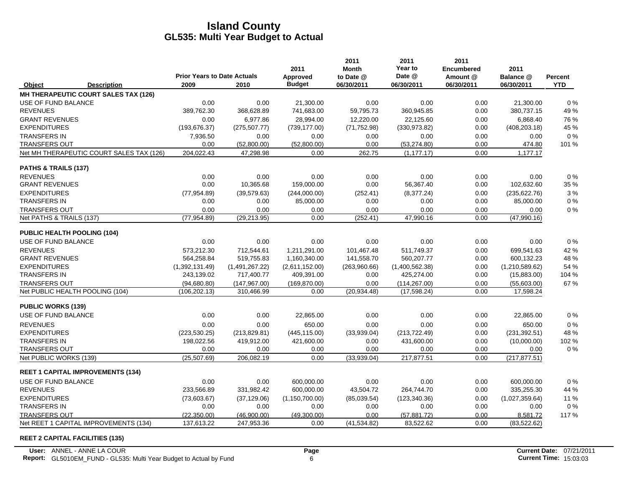|                           |                                          |                                            |                | 2011                      | 2011<br><b>Month</b>    | 2011<br>Year to      | 2011<br><b>Encumbered</b> | 2011                    |                       |
|---------------------------|------------------------------------------|--------------------------------------------|----------------|---------------------------|-------------------------|----------------------|---------------------------|-------------------------|-----------------------|
| Object                    | <b>Description</b>                       | <b>Prior Years to Date Actuals</b><br>2009 | 2010           | Approved<br><b>Budget</b> | to Date @<br>06/30/2011 | Date @<br>06/30/2011 | Amount @<br>06/30/2011    | Balance @<br>06/30/2011 | Percent<br><b>YTD</b> |
|                           | MH THERAPEUTIC COURT SALES TAX (126)     |                                            |                |                           |                         |                      |                           |                         |                       |
| USE OF FUND BALANCE       |                                          | 0.00                                       | 0.00           | 21,300.00                 | 0.00                    | 0.00                 | 0.00                      | 21,300.00               | $0\%$                 |
| <b>REVENUES</b>           |                                          | 389,762.30                                 | 368,628.89     | 741,683.00                | 59,795.73               | 360,945.85           | 0.00                      | 380,737.15              | 49 %                  |
| <b>GRANT REVENUES</b>     |                                          | 0.00                                       | 6,977.86       | 28.994.00                 | 12,220.00               | 22.125.60            | 0.00                      | 6,868.40                | 76 %                  |
| <b>EXPENDITURES</b>       |                                          | (193, 676.37)                              | (275, 507.77)  | (739, 177.00)             | (71, 752.98)            | (330, 973.82)        | 0.00                      | (408, 203.18)           | 45 %                  |
| <b>TRANSFERS IN</b>       |                                          | 7,936.50                                   | 0.00           | 0.00                      | 0.00                    | 0.00                 | 0.00                      | 0.00                    | 0%                    |
| <b>TRANSFERS OUT</b>      |                                          | 0.00                                       | (52,800.00)    | (52,800.00)               | 0.00                    | (53, 274.80)         | 0.00                      | 474.80                  | 101 %                 |
|                           | Net MH THERAPEUTIC COURT SALES TAX (126) | 204,022.43                                 | 47,298.98      | 0.00                      | 262.75                  | (1, 177.17)          | 0.00                      | 1,177.17                |                       |
| PATHS & TRAILS (137)      |                                          |                                            |                |                           |                         |                      |                           |                         |                       |
| <b>REVENUES</b>           |                                          | 0.00                                       | 0.00           | 0.00                      | 0.00                    | 0.00                 | 0.00                      | 0.00                    | 0%                    |
| <b>GRANT REVENUES</b>     |                                          | 0.00                                       | 10,365.68      | 159,000.00                | 0.00                    | 56,367.40            | 0.00                      | 102,632.60              | 35 %                  |
| <b>EXPENDITURES</b>       |                                          | (77, 954.89)                               | (39.579.63)    | (244,000.00)              | (252.41)                | (8,377.24)           | 0.00                      | (235, 622.76)           | 3%                    |
| <b>TRANSFERS IN</b>       |                                          | 0.00                                       | 0.00           | 85,000.00                 | 0.00                    | 0.00                 | 0.00                      | 85,000.00               | 0%                    |
| <b>TRANSFERS OUT</b>      |                                          | 0.00                                       | 0.00           | 0.00                      | 0.00                    | 0.00                 | 0.00                      | 0.00                    | $0\%$                 |
| Net PATHS & TRAILS (137)  |                                          | (77, 954.89)                               | (29, 213.95)   | 0.00                      | (252.41)                | 47,990.16            | 0.00                      | (47,990.16)             |                       |
|                           | <b>PUBLIC HEALTH POOLING (104)</b>       |                                            |                |                           |                         |                      |                           |                         |                       |
| USE OF FUND BALANCE       |                                          | 0.00                                       | 0.00           | 0.00                      | 0.00                    | 0.00                 | 0.00                      | 0.00                    | $0\%$                 |
| <b>REVENUES</b>           |                                          | 573,212.30                                 | 712,544.61     | 1,211,291.00              | 101,467.48              | 511,749.37           | 0.00                      | 699,541.63              | 42 %                  |
| <b>GRANT REVENUES</b>     |                                          | 564,258.84                                 | 519,755.83     | 1,160,340.00              | 141,558.70              | 560,207.77           | 0.00                      | 600,132.23              | 48 %                  |
| <b>EXPENDITURES</b>       |                                          | (1,392,131.49)                             | (1,491,267.22) | (2,611,152.00)            | (263,960.66)            | (1,400,562.38)       | 0.00                      | (1,210,589.62)          | 54 %                  |
| <b>TRANSFERS IN</b>       |                                          | 243,139.02                                 | 717,400.77     | 409,391.00                | 0.00                    | 425,274.00           | 0.00                      | (15,883.00)             | 104 %                 |
| <b>TRANSFERS OUT</b>      |                                          | (94,680.80)                                | (147, 967.00)  | (169, 870.00)             | 0.00                    | (114, 267.00)        | 0.00                      | (55,603.00)             | 67%                   |
|                           | Net PUBLIC HEALTH POOLING (104)          | (106, 202, 13)                             | 310,466.99     | 0.00                      | (20.934.48)             | (17, 598.24)         | 0.00                      | 17,598.24               |                       |
| <b>PUBLIC WORKS (139)</b> |                                          |                                            |                |                           |                         |                      |                           |                         |                       |
| USE OF FUND BALANCE       |                                          | 0.00                                       | 0.00           | 22,865.00                 | 0.00                    | 0.00                 | 0.00                      | 22,865.00               | 0%                    |
| <b>REVENUES</b>           |                                          | 0.00                                       | 0.00           | 650.00                    | 0.00                    | 0.00                 | 0.00                      | 650.00                  | 0%                    |
| <b>EXPENDITURES</b>       |                                          | (223, 530.25)                              | (213, 829.81)  | (445, 115.00)             | (33,939.04)             | (213, 722.49)        | 0.00                      | (231, 392.51)           | 48 %                  |
| <b>TRANSFERS IN</b>       |                                          | 198,022.56                                 | 419,912.00     | 421,600.00                | 0.00                    | 431,600.00           | 0.00                      | (10,000.00)             | 102 %                 |
| <b>TRANSFERS OUT</b>      |                                          | 0.00                                       | 0.00           | 0.00                      | 0.00                    | 0.00                 | 0.00                      | 0.00                    | 0%                    |
| Net PUBLIC WORKS (139)    |                                          | (25,507.69)                                | 206,082.19     | 0.00                      | (33,939.04)             | 217,877.51           | 0.00                      | (217, 877.51)           |                       |
|                           | <b>REET 1 CAPITAL IMPROVEMENTS (134)</b> |                                            |                |                           |                         |                      |                           |                         |                       |
| USE OF FUND BALANCE       |                                          | 0.00                                       | 0.00           | 600,000.00                | 0.00                    | 0.00                 | 0.00                      | 600,000.00              | 0%                    |
| <b>REVENUES</b>           |                                          | 233,566.89                                 | 331,982.42     | 600,000.00                | 43,504.72               | 264,744.70           | 0.00                      | 335,255.30              | 44 %                  |
| <b>EXPENDITURES</b>       |                                          | (73,603.67)                                | (37, 129.06)   | (1, 150, 700.00)          | (85,039.54)             | (123, 340.36)        | 0.00                      | (1,027,359.64)          | 11 %                  |
| <b>TRANSFERS IN</b>       |                                          | 0.00                                       | 0.00           | 0.00                      | 0.00                    | 0.00                 | 0.00                      | 0.00                    | $0\%$                 |
| <b>TRANSFERS OUT</b>      |                                          | (22, 350.00)                               | (46,900.00)    | (49,300.00)               | 0.00                    | (57,881.72)          | 0.00                      | 8,581.72                | 117%                  |
|                           | Net REET 1 CAPITAL IMPROVEMENTS (134)    | 137,613.22                                 | 247,953.36     | 0.00                      | (41, 534.82)            | 83,522.62            | 0.00                      | (83,522.62)             |                       |

#### **REET 2 CAPITAL FACILITIES (135)**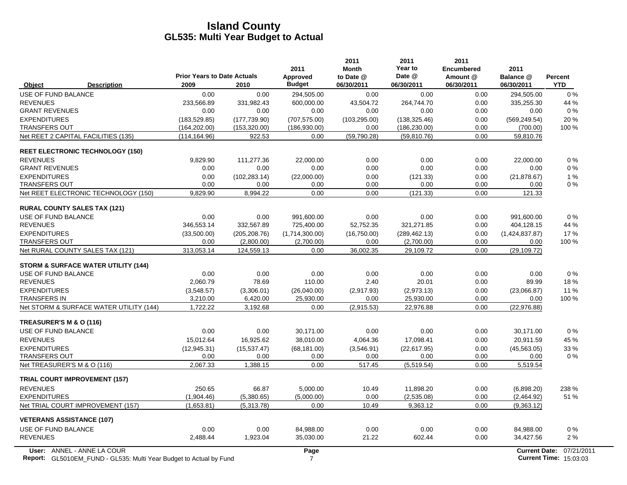|                                                                                                         | <b>Prior Years to Date Actuals</b> |                | 2011<br>Approved | 2011<br><b>Month</b><br>to Date @ | 2011<br>Year to<br>Date @ | 2011<br><b>Encumbered</b><br>Amount @ | 2011<br>Balance @    | <b>Percent</b>                              |
|---------------------------------------------------------------------------------------------------------|------------------------------------|----------------|------------------|-----------------------------------|---------------------------|---------------------------------------|----------------------|---------------------------------------------|
| <b>Description</b><br>Object                                                                            | 2009                               | 2010           | <b>Budget</b>    | 06/30/2011                        | 06/30/2011                | 06/30/2011                            | 06/30/2011           | <b>YTD</b>                                  |
| USE OF FUND BALANCE                                                                                     | 0.00                               | 0.00           | 294,505.00       | 0.00                              | 0.00                      | 0.00                                  | 294,505.00           | $0\%$                                       |
| <b>REVENUES</b>                                                                                         | 233,566.89                         | 331,982.43     | 600,000.00       | 43,504.72                         | 264,744.70                | 0.00                                  | 335,255.30           | 44 %                                        |
| <b>GRANT REVENUES</b>                                                                                   | 0.00                               | 0.00           | 0.00             | 0.00                              | 0.00                      | 0.00                                  | 0.00                 | 0%                                          |
| <b>EXPENDITURES</b>                                                                                     | (183, 529.85)                      | (177, 739.90)  | (707, 575.00)    | (103, 295.00)                     | (138, 325.46)             | 0.00                                  | (569, 249.54)        | 20%                                         |
| <b>TRANSFERS OUT</b>                                                                                    | (164, 202.00)                      | (153, 320.00)  | (186,930.00)     | 0.00                              | (186, 230.00)             | 0.00                                  | (700.00)             | 100 %                                       |
| Net REET 2 CAPITAL FACILITIES (135)                                                                     | (114, 164.96)                      | 922.53         | 0.00             | (59,790.28)                       | (59, 810.76)              | 0.00                                  | 59,810.76            |                                             |
| <b>REET ELECTRONIC TECHNOLOGY (150)</b>                                                                 |                                    |                |                  |                                   |                           |                                       |                      |                                             |
| <b>REVENUES</b>                                                                                         | 9,829.90                           | 111,277.36     | 22,000.00        | 0.00                              | 0.00                      | 0.00                                  | 22,000.00            | 0%                                          |
| <b>GRANT REVENUES</b>                                                                                   | 0.00                               | 0.00           | 0.00             | 0.00                              | 0.00                      | 0.00                                  | 0.00                 | $0\%$                                       |
| <b>EXPENDITURES</b>                                                                                     | 0.00                               | (102, 283, 14) | (22,000.00)      | 0.00                              | (121.33)                  | 0.00                                  | (21, 878.67)         | 1%                                          |
| <b>TRANSFERS OUT</b>                                                                                    | 0.00                               | 0.00           | 0.00             | 0.00                              | 0.00                      | 0.00                                  | 0.00                 | $0\%$                                       |
| Net REET ELECTRONIC TECHNOLOGY (150)                                                                    | 9,829.90                           | 8,994.22       | 0.00             | 0.00                              | (121.33)                  | 0.00                                  | 121.33               |                                             |
| <b>RURAL COUNTY SALES TAX (121)</b>                                                                     |                                    |                |                  |                                   |                           |                                       |                      |                                             |
| USE OF FUND BALANCE                                                                                     | 0.00                               | 0.00           | 991.600.00       | 0.00                              | 0.00                      | 0.00                                  | 991.600.00           | 0%                                          |
| <b>REVENUES</b>                                                                                         | 346,553.14                         | 332,567.89     | 725,400.00       | 52,752.35                         | 321,271.85                | 0.00                                  | 404,128.15           | 44 %                                        |
| <b>EXPENDITURES</b>                                                                                     | (33,500.00)                        | (205, 208.76)  | (1,714,300.00)   | (16,750.00)                       | (289, 462.13)             | 0.00                                  | (1,424,837.87)       | 17%                                         |
| <b>TRANSFERS OUT</b>                                                                                    | 0.00                               | (2,800.00)     | (2,700.00)       | 0.00                              | (2,700.00)                | 0.00                                  | 0.00                 | 100 %                                       |
| Net RURAL COUNTY SALES TAX (121)                                                                        | 313,053.14                         | 124,559.13     | 0.00             | 36,002.35                         | 29,109.72                 | 0.00                                  | (29, 109.72)         |                                             |
| <b>STORM &amp; SURFACE WATER UTILITY (144)</b>                                                          |                                    |                |                  |                                   |                           |                                       |                      |                                             |
| USE OF FUND BALANCE                                                                                     | 0.00                               | 0.00           | 0.00             | 0.00                              | 0.00                      | 0.00                                  | 0.00                 | 0%                                          |
| <b>REVENUES</b>                                                                                         | 2,060.79                           | 78.69          | 110.00           | 2.40                              | 20.01                     | 0.00                                  | 89.99                | 18%                                         |
| <b>EXPENDITURES</b>                                                                                     | (3,548.57)                         | (3,306.01)     | (26,040.00)      | (2,917.93)                        | (2,973.13)                | 0.00                                  | (23,066.87)          | 11 %                                        |
| <b>TRANSFERS IN</b>                                                                                     | 3,210.00                           | 6,420.00       | 25,930.00        | 0.00                              | 25,930.00                 | 0.00                                  | 0.00                 | 100 %                                       |
| Net STORM & SURFACE WATER UTILITY (144)                                                                 | 1,722.22                           | 3,192.68       | 0.00             | (2,915.53)                        | 22,976.88                 | 0.00                                  | (22, 976.88)         |                                             |
| TREASURER'S M & O (116)                                                                                 |                                    |                |                  |                                   |                           |                                       |                      |                                             |
| USE OF FUND BALANCE                                                                                     | 0.00                               | 0.00           | 30,171.00        | 0.00                              | 0.00                      | 0.00                                  | 30,171.00            | 0%                                          |
| <b>REVENUES</b>                                                                                         | 15,012.64                          | 16,925.62      | 38,010.00        | 4,064.36                          | 17,098.41                 | 0.00                                  | 20,911.59            | 45 %                                        |
| <b>EXPENDITURES</b>                                                                                     | (12, 945.31)                       | (15, 537.47)   | (68, 181.00)     | (3,546.91)                        | (22,617.95)               | 0.00                                  | (45, 563.05)         | 33 %                                        |
| <b>TRANSFERS OUT</b>                                                                                    | 0.00                               | 0.00           | 0.00             | 0.00                              | 0.00                      | 0.00                                  | 0.00                 | $0\%$                                       |
| Net TREASURER'S M & O (116)                                                                             | 2,067.33                           | 1,388.15       | 0.00             | 517.45                            | (5,519.54)                | 0.00                                  | 5,519.54             |                                             |
| <b>TRIAL COURT IMPROVEMENT (157)</b>                                                                    |                                    |                |                  |                                   |                           |                                       |                      |                                             |
| <b>REVENUES</b>                                                                                         | 250.65                             | 66.87          | 5,000.00         | 10.49                             | 11,898.20                 | 0.00                                  | (6,898.20)           | 238 %                                       |
| <b>EXPENDITURES</b>                                                                                     | (1,904.46)                         | (5,380.65)     | (5,000.00)       | 0.00                              | (2,535.08)                | 0.00                                  | (2,464.92)           | 51 %                                        |
| Net TRIAL COURT IMPROVEMENT (157)                                                                       | (1,653.81)                         | (5,313.78)     | 0.00             | 10.49                             | 9,363.12                  | 0.00                                  | (9,363.12)           |                                             |
| <b>VETERANS ASSISTANCE (107)</b>                                                                        |                                    |                |                  |                                   |                           |                                       |                      |                                             |
| USE OF FUND BALANCE                                                                                     | 0.00                               | 0.00           | 84,988.00        | 0.00                              | 0.00                      | 0.00                                  | 84,988.00            | 0%                                          |
| <b>REVENUES</b>                                                                                         | 2,488.44                           | 1,923.04       | 35,030.00        | 21.22                             | 602.44                    | 0.00                                  | 34,427.56            | 2%                                          |
| User: ANNEL - ANNE LA COUR<br><b>Report:</b> GL5010EM FUND - GL535: Multi Year Budget to Actual by Fund |                                    |                | Page<br>7        |                                   |                           |                                       | <b>Current Date:</b> | 07/21/2011<br><b>Current Time: 15:03:03</b> |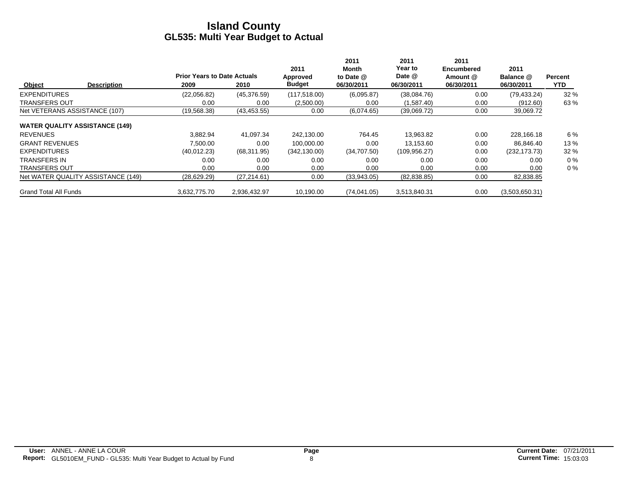|                                       | <b>Prior Years to Date Actuals</b> |              | 2011<br>Approved | 2011<br>Month<br>to Date @ | 2011<br>Year to<br>Date @ | 2011<br><b>Encumbered</b><br>Amount @ | 2011<br>Balance @ | Percent |
|---------------------------------------|------------------------------------|--------------|------------------|----------------------------|---------------------------|---------------------------------------|-------------------|---------|
| Object<br><b>Description</b>          | 2009                               | 2010         | <b>Budget</b>    | 06/30/2011                 | 06/30/2011                | 06/30/2011                            | 06/30/2011        | YTD.    |
| <b>EXPENDITURES</b>                   | (22,056.82)                        | (45,376.59)  | (117, 518.00)    | (6,095.87)                 | (38,084.76)               | 0.00                                  | (79, 433.24)      | 32 %    |
| <b>TRANSFERS OUT</b>                  | 0.00                               | 0.00         | (2,500.00)       | 0.00                       | (1,587.40)                | 0.00                                  | (912.60)          | 63 %    |
| Net VETERANS ASSISTANCE (107)         | (19,568.38)                        | (43, 453.55) | 0.00             | (6,074.65)                 | (39,069.72)               | 0.00                                  | 39,069.72         |         |
| <b>WATER QUALITY ASSISTANCE (149)</b> |                                    |              |                  |                            |                           |                                       |                   |         |
| <b>REVENUES</b>                       | 3.882.94                           | 41,097.34    | 242.130.00       | 764.45                     | 13,963.82                 | 0.00                                  | 228,166.18        | 6 %     |
| <b>GRANT REVENUES</b>                 | 7.500.00                           | 0.00         | 100.000.00       | 0.00                       | 13.153.60                 | 0.00                                  | 86,846.40         | 13%     |
| <b>EXPENDITURES</b>                   | (40,012.23)                        | (68, 311.95) | (342, 130.00)    | (34,707.50)                | (109.956.27)              | 0.00                                  | (232, 173.73)     | 32 %    |
| <b>TRANSFERS IN</b>                   | 0.00                               | 0.00         | 0.00             | 0.00                       | 0.00                      | 0.00                                  | 0.00              | $0\%$   |
| <b>TRANSFERS OUT</b>                  | 0.00                               | 0.00         | 0.00             | 0.00                       | 0.00                      | 0.00                                  | 0.00              | $0\%$   |
| Net WATER QUALITY ASSISTANCE (149)    | (28,629.29)                        | (27, 214.61) | 0.00             | (33,943.05)                | (82,838.85)               | 0.00                                  | 82,838.85         |         |
| <b>Grand Total All Funds</b>          | 3.632.775.70                       | 2.936.432.97 | 10.190.00        | (74.041.05)                | 3.513.840.31              | 0.00                                  | (3,503,650.31)    |         |